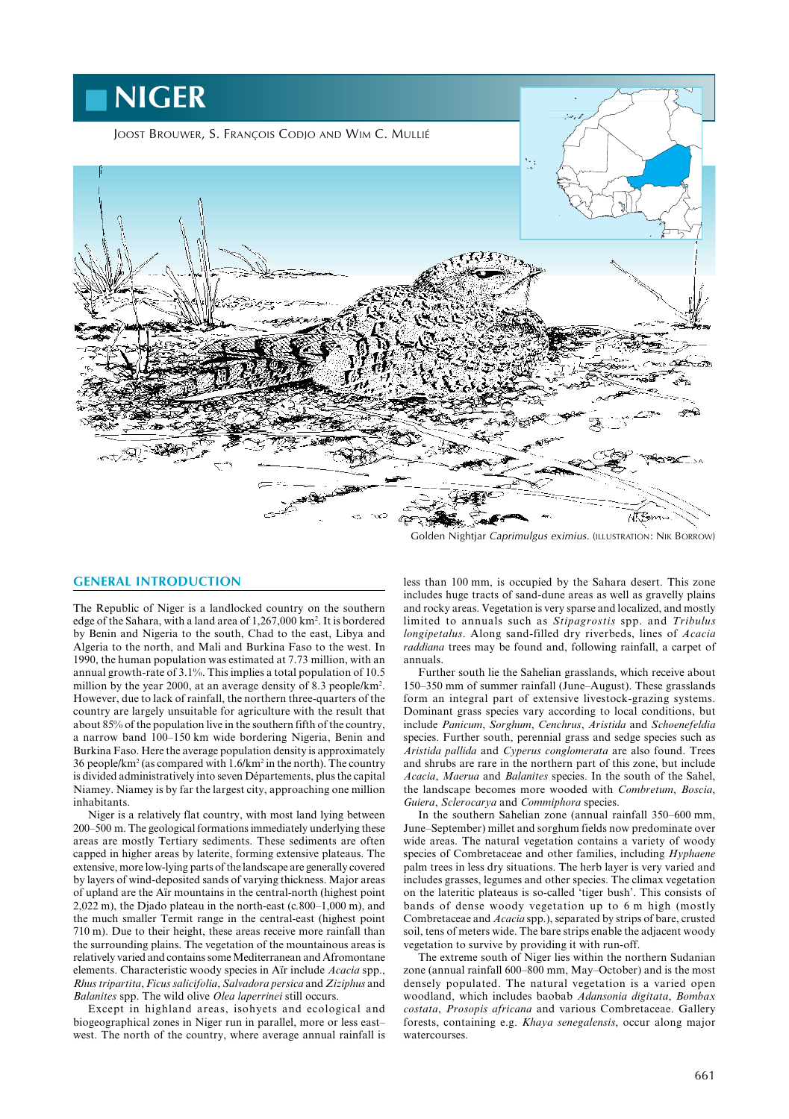

Golden Nightjar Caprimulgus eximius. (ILLUSTRATION: NIK BORROW)

# **GENERAL INTRODUCTION**

The Republic of Niger is a landlocked country on the southern edge of the Sahara, with a land area of 1,267,000 km2 . It is bordered by Benin and Nigeria to the south, Chad to the east, Libya and Algeria to the north, and Mali and Burkina Faso to the west. In 1990, the human population was estimated at 7.73 million, with an annual growth-rate of 3.1%. This implies a total population of 10.5 million by the year 2000, at an average density of 8.3 people/km<sup>2</sup>. However, due to lack of rainfall, the northern three-quarters of the country are largely unsuitable for agriculture with the result that about 85% of the population live in the southern fifth of the country, a narrow band 100–150 km wide bordering Nigeria, Benin and Burkina Faso. Here the average population density is approximately 36 people/km2 (as compared with 1.6/km2 in the north). The country is divided administratively into seven Départements, plus the capital Niamey. Niamey is by far the largest city, approaching one million inhabitants.

Niger is a relatively flat country, with most land lying between 200–500 m. The geological formations immediately underlying these areas are mostly Tertiary sediments. These sediments are often capped in higher areas by laterite, forming extensive plateaus. The extensive, more low-lying parts of the landscape are generally covered by layers of wind-deposited sands of varying thickness. Major areas of upland are the Aïr mountains in the central-north (highest point 2,022 m), the Djado plateau in the north-east (c*.*800–1,000 m), and the much smaller Termit range in the central-east (highest point 710 m). Due to their height, these areas receive more rainfall than the surrounding plains. The vegetation of the mountainous areas is relatively varied and contains some Mediterranean and Afromontane elements. Characteristic woody species in Aïr include *Acacia* spp., *Rhus tripartita*, *Ficus salicifolia*, *Salvadora persica* and *Ziziphus* and *Balanites* spp. The wild olive *Olea laperrinei* still occurs.

Except in highland areas, isohyets and ecological and biogeographical zones in Niger run in parallel, more or less east– west. The north of the country, where average annual rainfall is

less than 100 mm, is occupied by the Sahara desert. This zone includes huge tracts of sand-dune areas as well as gravelly plains and rocky areas. Vegetation is very sparse and localized, and mostly limited to annuals such as *Stipagrostis* spp. and *Tribulus longipetalus*. Along sand-filled dry riverbeds, lines of *Acacia raddiana* trees may be found and, following rainfall, a carpet of annuals.

Further south lie the Sahelian grasslands, which receive about 150–350 mm of summer rainfall (June–August). These grasslands form an integral part of extensive livestock-grazing systems. Dominant grass species vary according to local conditions, but include *Panicum*, *Sorghum*, *Cenchrus*, *Aristida* and *Schoenefeldia* species. Further south, perennial grass and sedge species such as *Aristida pallida* and *Cyperus conglomerata* are also found. Trees and shrubs are rare in the northern part of this zone, but include *Acacia*, *Maerua* and *Balanites* species. In the south of the Sahel, the landscape becomes more wooded with *Combretum*, *Boscia*, *Guiera*, *Sclerocarya* and *Commiphora* species.

In the southern Sahelian zone (annual rainfall 350–600 mm, June–September) millet and sorghum fields now predominate over wide areas. The natural vegetation contains a variety of woody species of Combretaceae and other families, including *Hyphaene* palm trees in less dry situations. The herb layer is very varied and includes grasses, legumes and other species. The climax vegetation on the lateritic plateaus is so-called 'tiger bush'. This consists of bands of dense woody vegetation up to 6 m high (mostly Combretaceae and *Acacia* spp.), separated by strips of bare, crusted soil, tens of meters wide. The bare strips enable the adjacent woody vegetation to survive by providing it with run-off.

The extreme south of Niger lies within the northern Sudanian zone (annual rainfall 600–800 mm, May–October) and is the most densely populated. The natural vegetation is a varied open woodland, which includes baobab *Adansonia digitata*, *Bombax costata*, *Prosopis africana* and various Combretaceae. Gallery forests, containing e.g. *Khaya senegalensis*, occur along major watercourses.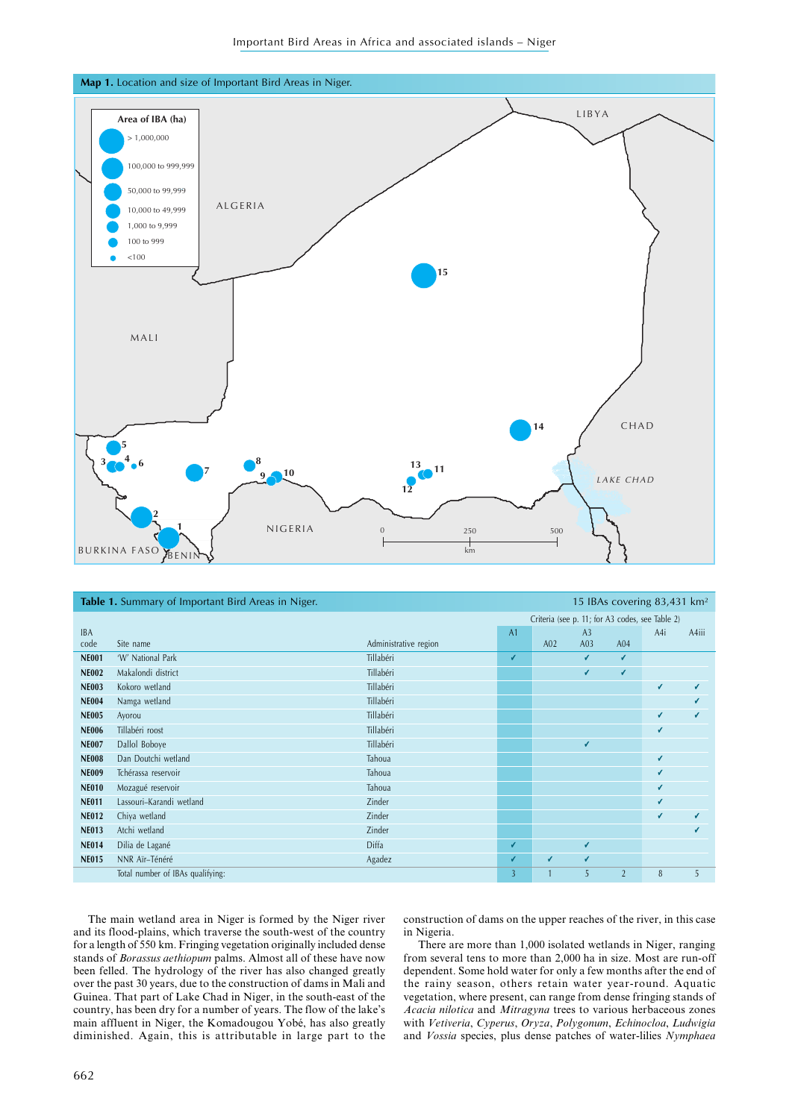



|              | <b>Table 1.</b> Summary of Important Bird Areas in Niger.<br>15 IBAs covering 83,431 km <sup>2</sup> |                       |                |                                                 |                 |                |     |       |
|--------------|------------------------------------------------------------------------------------------------------|-----------------------|----------------|-------------------------------------------------|-----------------|----------------|-----|-------|
|              |                                                                                                      |                       |                | Criteria (see p. 11; for A3 codes, see Table 2) |                 |                |     |       |
| <b>IBA</b>   |                                                                                                      |                       | A <sub>1</sub> |                                                 | A <sub>3</sub>  |                | A4i | A4iii |
| code         | Site name                                                                                            | Administrative region |                | A <sub>02</sub>                                 | A <sub>03</sub> | A04            |     |       |
| <b>NE001</b> | 'W' National Park                                                                                    | Tillabéri             | V              |                                                 | V               | V              |     |       |
| <b>NE002</b> | Makalondi district                                                                                   | Tillabéri             |                |                                                 | V               | V              |     |       |
| <b>NE003</b> | Kokoro wetland                                                                                       | Tillabéri             |                |                                                 |                 |                | V   | v     |
| <b>NE004</b> | Namga wetland                                                                                        | Tillabéri             |                |                                                 |                 |                |     | v     |
| <b>NE005</b> | Ayorou                                                                                               | Tillabéri             |                |                                                 |                 |                | V   | v     |
| <b>NE006</b> | Tillabéri roost                                                                                      | Tillabéri             |                |                                                 |                 |                | V   |       |
| <b>NE007</b> | Dallol Boboye                                                                                        | Tillabéri             |                |                                                 | V               |                |     |       |
| <b>NE008</b> | Dan Doutchi wetland                                                                                  | Tahoua                |                |                                                 |                 |                | V   |       |
| <b>NE009</b> | Tchérassa reservoir                                                                                  | Tahoua                |                |                                                 |                 |                | V   |       |
| <b>NE010</b> | Mozagué reservoir                                                                                    | Tahoua                |                |                                                 |                 |                | V   |       |
| <b>NE011</b> | Lassouri-Karandi wetland                                                                             | Zinder                |                |                                                 |                 |                | V   |       |
| <b>NE012</b> | Chiya wetland                                                                                        | Zinder                |                |                                                 |                 |                | ✓   |       |
| <b>NE013</b> | Atchi wetland                                                                                        | Zinder                |                |                                                 |                 |                |     |       |
| <b>NE014</b> | Dilia de Lagané                                                                                      | Diffa                 | V              |                                                 | V               |                |     |       |
| <b>NE015</b> | NNR Aïr-Ténéré                                                                                       | Agadez                | V              | V                                               | V               |                |     |       |
|              | Total number of IBAs qualifying:                                                                     |                       | $\overline{3}$ |                                                 | 5               | $\overline{2}$ | 8   | 5     |

The main wetland area in Niger is formed by the Niger river and its flood-plains, which traverse the south-west of the country for a length of 550 km. Fringing vegetation originally included dense stands of *Borassus aethiopum* palms. Almost all of these have now been felled. The hydrology of the river has also changed greatly over the past 30 years, due to the construction of dams in Mali and Guinea. That part of Lake Chad in Niger, in the south-east of the country, has been dry for a number of years. The flow of the lake's main affluent in Niger, the Komadougou Yobé, has also greatly diminished. Again, this is attributable in large part to the

construction of dams on the upper reaches of the river, in this case in Nigeria.

There are more than 1,000 isolated wetlands in Niger, ranging from several tens to more than 2,000 ha in size. Most are run-off dependent. Some hold water for only a few months after the end of the rainy season, others retain water year-round. Aquatic vegetation, where present, can range from dense fringing stands of *Acacia nilotica* and *Mitragyna* trees to various herbaceous zones with *Vetiveria*, *Cyperus*, *Oryza*, *Polygonum*, *Echinocloa*, *Ludwigia* and *Vossia* species, plus dense patches of water-lilies *Nymphaea*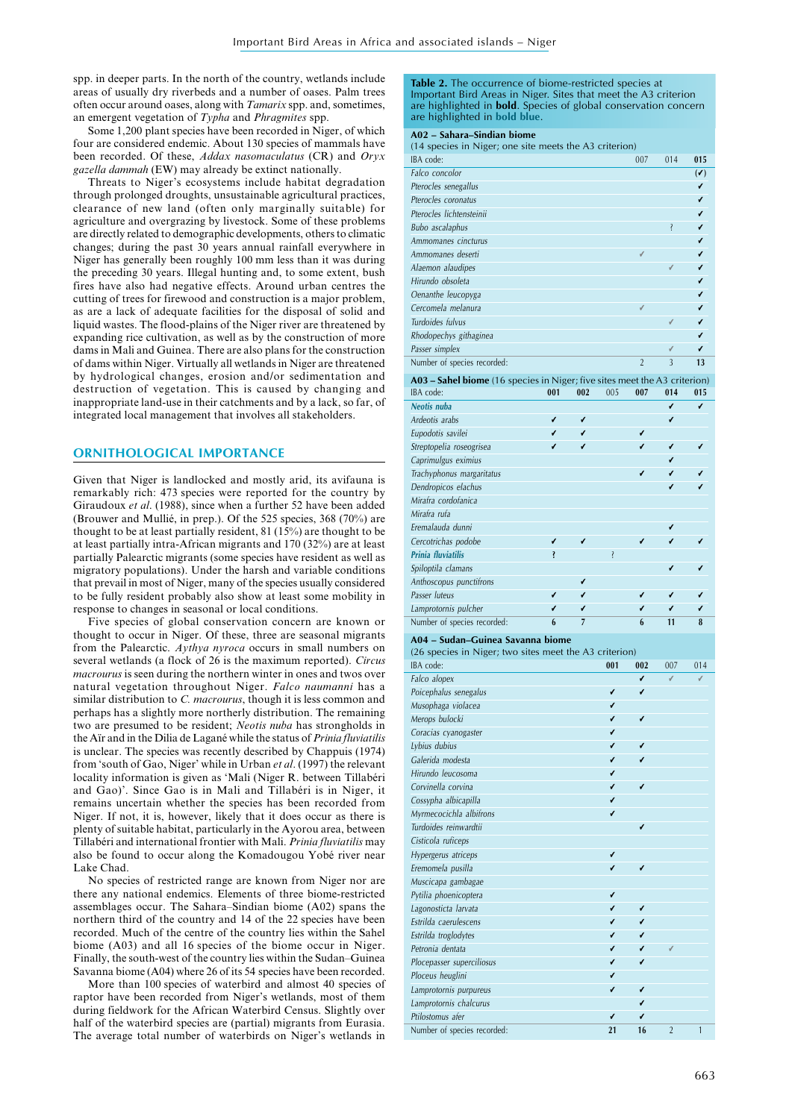spp. in deeper parts. In the north of the country, wetlands include areas of usually dry riverbeds and a number of oases. Palm trees often occur around oases, along with *Tamarix* spp. and, sometimes, an emergent vegetation of *Typha* and *Phragmites* spp.

Some 1,200 plant species have been recorded in Niger, of which four are considered endemic. About 130 species of mammals have been recorded. Of these, *Addax nasomaculatus* (CR) and *Oryx gazella dammah* (EW) may already be extinct nationally.

Threats to Niger's ecosystems include habitat degradation through prolonged droughts, unsustainable agricultural practices, clearance of new land (often only marginally suitable) for agriculture and overgrazing by livestock. Some of these problems are directly related to demographic developments, others to climatic changes; during the past 30 years annual rainfall everywhere in Niger has generally been roughly 100 mm less than it was during the preceding 30 years. Illegal hunting and, to some extent, bush fires have also had negative effects. Around urban centres the cutting of trees for firewood and construction is a major problem, as are a lack of adequate facilities for the disposal of solid and liquid wastes. The flood-plains of the Niger river are threatened by expanding rice cultivation, as well as by the construction of more dams in Mali and Guinea. There are also plans for the construction of dams within Niger. Virtually all wetlands in Niger are threatened by hydrological changes, erosion and/or sedimentation and destruction of vegetation. This is caused by changing and inappropriate land-use in their catchments and by a lack, so far, of integrated local management that involves all stakeholders.

# **ORNITHOLOGICAL IMPORTANCE**

Given that Niger is landlocked and mostly arid, its avifauna is remarkably rich: 473 species were reported for the country by Giraudoux *et al*. (1988), since when a further 52 have been added (Brouwer and Mullié, in prep.). Of the 525 species, 368 (70%) are thought to be at least partially resident, 81 (15%) are thought to be at least partially intra-African migrants and 170 (32%) are at least partially Palearctic migrants (some species have resident as well as migratory populations). Under the harsh and variable conditions that prevail in most of Niger, many of the species usually considered to be fully resident probably also show at least some mobility in response to changes in seasonal or local conditions.

Five species of global conservation concern are known or thought to occur in Niger. Of these, three are seasonal migrants from the Palearctic. *Aythya nyroca* occurs in small numbers on several wetlands (a flock of 26 is the maximum reported). *Circus macrourus* is seen during the northern winter in ones and twos over natural vegetation throughout Niger. *Falco naumanni* has a similar distribution to *C. macrourus*, though it is less common and perhaps has a slightly more northerly distribution. The remaining two are presumed to be resident; *Neotis nuba* has strongholds in the Aïr and in the Dilia de Lagané while the status of *Prinia fluviatilis* is unclear. The species was recently described by Chappuis (1974) from 'south of Gao, Niger' while in Urban *et al*. (1997) the relevant locality information is given as 'Mali (Niger R. between Tillabéri and Gao)'. Since Gao is in Mali and Tillabéri is in Niger, it remains uncertain whether the species has been recorded from Niger. If not, it is, however, likely that it does occur as there is plenty of suitable habitat, particularly in the Ayorou area, between Tillabéri and international frontier with Mali. *Prinia fluviatilis* may also be found to occur along the Komadougou Yobé river near Lake Chad.

No species of restricted range are known from Niger nor are there any national endemics. Elements of three biome-restricted assemblages occur. The Sahara–Sindian biome (A02) spans the northern third of the country and 14 of the 22 species have been recorded. Much of the centre of the country lies within the Sahel biome (A03) and all 16 species of the biome occur in Niger. Finally, the south-west of the country lies within the Sudan–Guinea Savanna biome (A04) where 26 of its 54 species have been recorded.

More than 100 species of waterbird and almost 40 species of raptor have been recorded from Niger's wetlands, most of them during fieldwork for the African Waterbird Census. Slightly over half of the waterbird species are (partial) migrants from Eurasia. The average total number of waterbirds on Niger's wetlands in

**Table 2.** The occurrence of biome-restricted species at Important Bird Areas in Niger. Sites that meet the A3 criterion are highlighted in **bold**. Species of global conservation concern are highlighted in **bold blue**.

#### **A02 – Sahara–Sindian biome**

(14 species in Niger; one site meets the A3 criterion)

| IBA code:                   | 007            | 014                     | 015     |
|-----------------------------|----------------|-------------------------|---------|
| Falco concolor              |                |                         | $(\nu)$ |
| Pterocles senegallus        |                |                         | v       |
| Pterocles coronatus         |                |                         | v       |
| Pterocles lichtensteinii    |                |                         |         |
| Bubo ascalaphus             |                | Ş                       | v       |
| Ammomanes cincturus         |                |                         | v       |
| Ammomanes deserti           | ✓              |                         |         |
| Alaemon alaudipes           |                | V                       | v       |
| Hirundo obsoleta            |                |                         | v       |
| Oenanthe leucopyga          |                |                         | v       |
| Cercomela melanura          | V              |                         | v       |
| Turdoides fulvus            |                | ✓                       | v       |
| Rhodopechys githaginea      |                |                         | v       |
| Passer simplex              |                | V                       |         |
| Number of species recorded: | $\overline{2}$ | $\overline{\mathbf{3}}$ | 13      |

**A03 – Sahel biome** (16 species in Niger; five sites meet the A3 criterion)

| IBA code:                   | 001 | 002 | 005 | 007 | 014 | 015 |
|-----------------------------|-----|-----|-----|-----|-----|-----|
| Neotis nuba                 |     |     |     |     | v   | v   |
| Ardeotis arabs              | v   | v   |     |     | v   |     |
| Eupodotis savilei           | ✓   | v   |     | v   |     |     |
| Streptopelia roseogrisea    | v   | v   |     | ✓   | v   |     |
| Caprimulgus eximius         |     |     |     |     | v   |     |
| Trachyphonus margaritatus   |     |     |     | v   | v   |     |
| Dendropicos elachus         |     |     |     |     | v   |     |
| Mirafra cordofanica         |     |     |     |     |     |     |
| Mirafra rufa                |     |     |     |     |     |     |
| Eremalauda dunni            |     |     |     |     |     |     |
| Cercotrichas podobe         | ✓   | ✓   |     | ✓   | ✓   |     |
| Prinia fluviatilis          | ļ   |     | Ş   |     |     |     |
| Spiloptila clamans          |     |     |     |     | v   |     |
| Anthoscopus punctifrons     |     | v   |     |     |     |     |
| Passer luteus               | ✓   | v   |     | ✓   | v   |     |
| Lamprotornis pulcher        | v   | v   |     | v   | v   | v   |
| Number of species recorded: | 6   | 7   |     | 6   | 11  | 8   |

**A04 – Sudan–Guinea Savanna biome**

(26 species in Niger; two sites meet the A3 criterion)

| $(20 \text{ species in right}, \text{two sites inect the } \text{to circuit})$ |     |     |                |     |  |
|--------------------------------------------------------------------------------|-----|-----|----------------|-----|--|
| IBA code:                                                                      | 001 | 002 | 007            | 014 |  |
| Falco alopex                                                                   |     | v   | V              | ✓   |  |
| Poicephalus senegalus                                                          | v   | v   |                |     |  |
| Musophaga violacea                                                             | v   |     |                |     |  |
| Merops bulocki                                                                 | v   | v   |                |     |  |
| Coracias cyanogaster                                                           | v   |     |                |     |  |
| Lybius dubius                                                                  | v   | v   |                |     |  |
| Galerida modesta                                                               | v   | v   |                |     |  |
| Hirundo leucosoma                                                              | v   |     |                |     |  |
| Corvinella corvina                                                             | v   | v   |                |     |  |
| Cossypha albicapilla                                                           | v   |     |                |     |  |
| Myrmecocichla albifrons                                                        | v   |     |                |     |  |
| Turdoides reinwardtii                                                          |     | v   |                |     |  |
| Cisticola ruficeps                                                             |     |     |                |     |  |
| Hypergerus atriceps                                                            | v   |     |                |     |  |
| Eremomela pusilla                                                              | v   | V   |                |     |  |
| Muscicapa gambagae                                                             |     |     |                |     |  |
| Pytilia phoenicoptera                                                          | v   |     |                |     |  |
| Lagonosticta larvata                                                           | v   | v   |                |     |  |
| Estrilda caerulescens                                                          | v   | v   |                |     |  |
| Estrilda troglodytes                                                           | v   | v   |                |     |  |
| Petronia dentata                                                               | v   | v   | V              |     |  |
| Plocepasser superciliosus                                                      | v   | V   |                |     |  |
| Ploceus heuglini                                                               | v   |     |                |     |  |
| Lamprotornis purpureus                                                         | v   | v   |                |     |  |
| Lamprotornis chalcurus                                                         |     | V   |                |     |  |
| Ptilostomus afer                                                               | v   | v   |                |     |  |
| Number of species recorded:                                                    | 21  | 16  | $\overline{2}$ | 1   |  |
|                                                                                |     |     |                |     |  |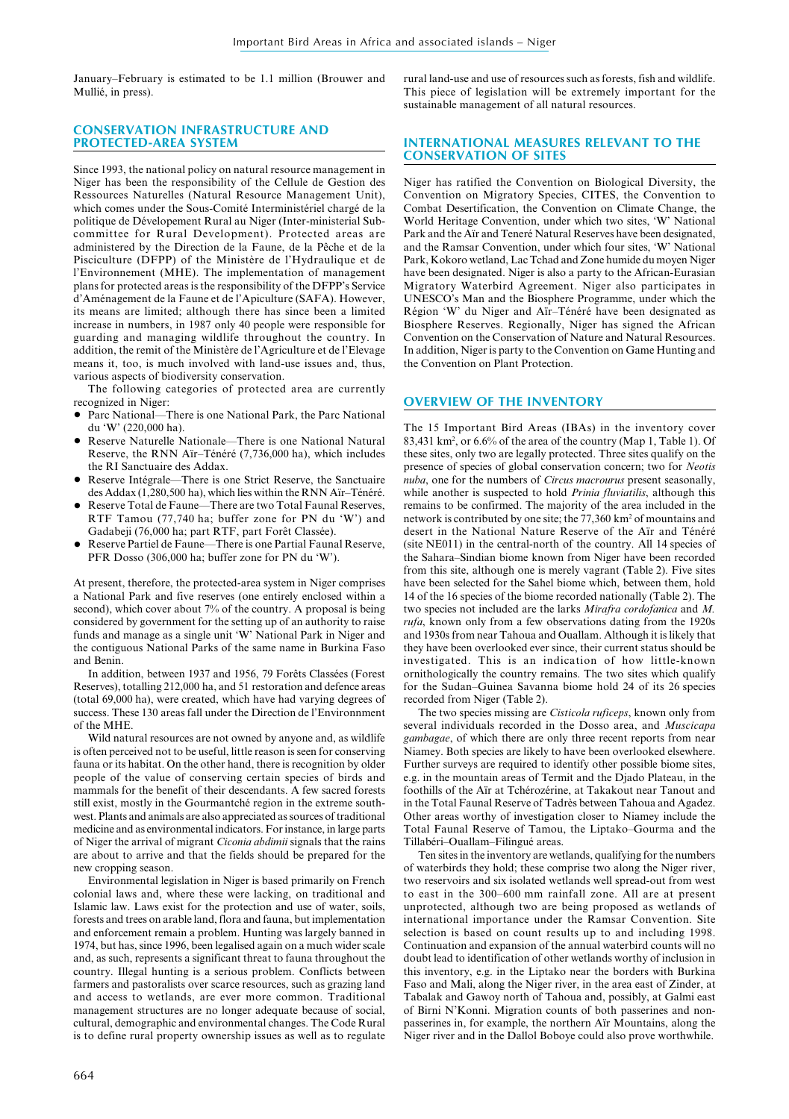January–February is estimated to be 1.1 million (Brouwer and Mullié, in press).

# **CONSERVATION INFRASTRUCTURE AND PROTECTED-AREA SYSTEM**

Since 1993, the national policy on natural resource management in Niger has been the responsibility of the Cellule de Gestion des Ressources Naturelles (Natural Resource Management Unit), which comes under the Sous-Comité Interministériel chargé de la politique de Dévelopement Rural au Niger (Inter-ministerial Subcommittee for Rural Development). Protected areas are administered by the Direction de la Faune, de la Pêche et de la Pisciculture (DFPP) of the Ministère de l'Hydraulique et de l'Environnement (MHE). The implementation of management plans for protected areas is the responsibility of the DFPP's Service d'Aménagement de la Faune et de l'Apiculture (SAFA). However, its means are limited; although there has since been a limited increase in numbers, in 1987 only 40 people were responsible for guarding and managing wildlife throughout the country. In addition, the remit of the Ministère de l'Agriculture et de l'Elevage means it, too, is much involved with land-use issues and, thus, various aspects of biodiversity conservation.

The following categories of protected area are currently recognized in Niger:

- Parc National—There is one National Park, the Parc National du 'W' (220,000 ha).
- Reserve Naturelle Nationale—There is one National Natural Reserve, the RNN Aïr–Ténéré (7,736,000 ha), which includes the RI Sanctuaire des Addax.
- Reserve Intégrale—There is one Strict Reserve, the Sanctuaire des Addax (1,280,500 ha), which lies within the RNN Aïr–Ténéré.
- Reserve Total de Faune—There are two Total Faunal Reserves, RTF Tamou (77,740 ha; buffer zone for PN du 'W') and Gadabeji (76,000 ha; part RTF, part Forêt Classée).
- Reserve Partiel de Faune—There is one Partial Faunal Reserve, PFR Dosso (306,000 ha; buffer zone for PN du 'W').

At present, therefore, the protected-area system in Niger comprises a National Park and five reserves (one entirely enclosed within a second), which cover about 7% of the country. A proposal is being considered by government for the setting up of an authority to raise funds and manage as a single unit 'W' National Park in Niger and the contiguous National Parks of the same name in Burkina Faso and Benin.

In addition, between 1937 and 1956, 79 Forêts Classées (Forest Reserves), totalling 212,000 ha, and 51 restoration and defence areas (total 69,000 ha), were created, which have had varying degrees of success. These 130 areas fall under the Direction de l'Environnment of the MHE.

Wild natural resources are not owned by anyone and, as wildlife is often perceived not to be useful, little reason is seen for conserving fauna or its habitat. On the other hand, there is recognition by older people of the value of conserving certain species of birds and mammals for the benefit of their descendants. A few sacred forests still exist, mostly in the Gourmantché region in the extreme southwest. Plants and animals are also appreciated as sources of traditional medicine and as environmental indicators. For instance, in large parts of Niger the arrival of migrant *Ciconia abdimii* signals that the rains are about to arrive and that the fields should be prepared for the new cropping season.

Environmental legislation in Niger is based primarily on French colonial laws and, where these were lacking, on traditional and Islamic law. Laws exist for the protection and use of water, soils, forests and trees on arable land, flora and fauna, but implementation and enforcement remain a problem. Hunting was largely banned in 1974, but has, since 1996, been legalised again on a much wider scale and, as such, represents a significant threat to fauna throughout the country. Illegal hunting is a serious problem. Conflicts between farmers and pastoralists over scarce resources, such as grazing land and access to wetlands, are ever more common. Traditional management structures are no longer adequate because of social, cultural, demographic and environmental changes. The Code Rural is to define rural property ownership issues as well as to regulate rural land-use and use of resources such as forests, fish and wildlife. This piece of legislation will be extremely important for the sustainable management of all natural resources.

# **INTERNATIONAL MEASURES RELEVANT TO THE CONSERVATION OF SITES**

Niger has ratified the Convention on Biological Diversity, the Convention on Migratory Species, CITES, the Convention to Combat Desertification, the Convention on Climate Change, the World Heritage Convention, under which two sites, 'W' National Park and the Aïr and Teneré Natural Reserves have been designated, and the Ramsar Convention, under which four sites, 'W' National Park, Kokoro wetland, Lac Tchad and Zone humide du moyen Niger have been designated. Niger is also a party to the African-Eurasian Migratory Waterbird Agreement. Niger also participates in UNESCO's Man and the Biosphere Programme, under which the Région 'W' du Niger and Aïr–Ténéré have been designated as Biosphere Reserves. Regionally, Niger has signed the African Convention on the Conservation of Nature and Natural Resources. In addition, Niger is party to the Convention on Game Hunting and the Convention on Plant Protection.

# **OVERVIEW OF THE INVENTORY**

The 15 Important Bird Areas (IBAs) in the inventory cover 83,431 km2 , or 6.6% of the area of the country (Map 1, Table 1). Of these sites, only two are legally protected. Three sites qualify on the presence of species of global conservation concern; two for *Neotis nuba*, one for the numbers of *Circus macrourus* present seasonally, while another is suspected to hold *Prinia fluviatilis*, although this remains to be confirmed. The majority of the area included in the network is contributed by one site; the 77,360 km2 of mountains and desert in the National Nature Reserve of the Aïr and Ténéré (site NE011) in the central-north of the country. All 14 species of the Sahara–Sindian biome known from Niger have been recorded from this site, although one is merely vagrant (Table 2). Five sites have been selected for the Sahel biome which, between them, hold 14 of the 16 species of the biome recorded nationally (Table 2). The two species not included are the larks *Mirafra cordofanica* and *M. rufa*, known only from a few observations dating from the 1920s and 1930s from near Tahoua and Ouallam. Although it is likely that they have been overlooked ever since, their current status should be investigated. This is an indication of how little-known ornithologically the country remains. The two sites which qualify for the Sudan–Guinea Savanna biome hold 24 of its 26 species recorded from Niger (Table 2).

The two species missing are *Cisticola ruficeps*, known only from several individuals recorded in the Dosso area, and *Muscicapa gambagae*, of which there are only three recent reports from near Niamey. Both species are likely to have been overlooked elsewhere. Further surveys are required to identify other possible biome sites, e.g. in the mountain areas of Termit and the Djado Plateau, in the foothills of the Aïr at Tchérozérine, at Takakout near Tanout and in the Total Faunal Reserve of Tadrès between Tahoua and Agadez. Other areas worthy of investigation closer to Niamey include the Total Faunal Reserve of Tamou, the Liptako–Gourma and the Tillabéri–Ouallam–Filingué areas.

Ten sites in the inventory are wetlands, qualifying for the numbers of waterbirds they hold; these comprise two along the Niger river, two reservoirs and six isolated wetlands well spread-out from west to east in the 300–600 mm rainfall zone. All are at present unprotected, although two are being proposed as wetlands of international importance under the Ramsar Convention. Site selection is based on count results up to and including 1998. Continuation and expansion of the annual waterbird counts will no doubt lead to identification of other wetlands worthy of inclusion in this inventory, e.g. in the Liptako near the borders with Burkina Faso and Mali, along the Niger river, in the area east of Zinder, at Tabalak and Gawoy north of Tahoua and, possibly, at Galmi east of Birni N'Konni. Migration counts of both passerines and nonpasserines in, for example, the northern Aïr Mountains, along the Niger river and in the Dallol Boboye could also prove worthwhile.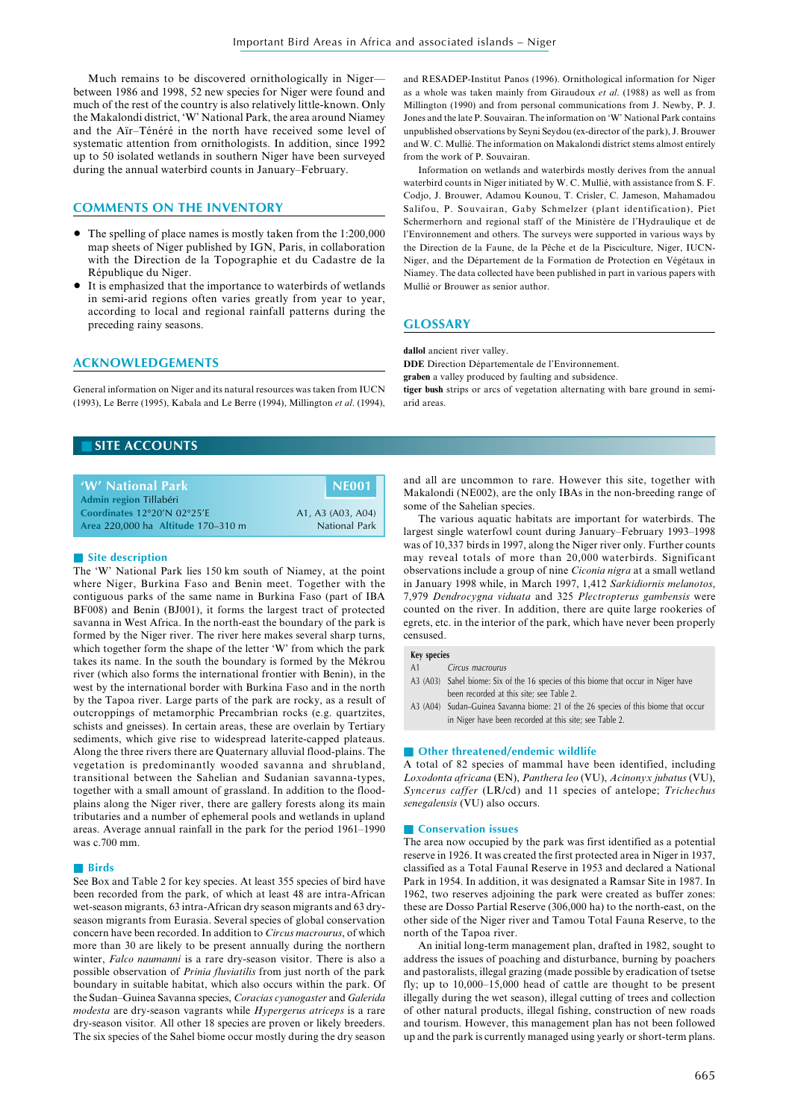Much remains to be discovered ornithologically in Niger between 1986 and 1998, 52 new species for Niger were found and much of the rest of the country is also relatively little-known. Only the Makalondi district, 'W' National Park, the area around Niamey and the Aïr–Ténéré in the north have received some level of systematic attention from ornithologists. In addition, since 1992 up to 50 isolated wetlands in southern Niger have been surveyed during the annual waterbird counts in January–February.

# **COMMENTS ON THE INVENTORY**

- The spelling of place names is mostly taken from the 1:200,000 map sheets of Niger published by IGN, Paris, in collaboration with the Direction de la Topographie et du Cadastre de la République du Niger.
- It is emphasized that the importance to waterbirds of wetlands in semi-arid regions often varies greatly from year to year, according to local and regional rainfall patterns during the preceding rainy seasons.

and RESADEP-Institut Panos (1996). Ornithological information for Niger as a whole was taken mainly from Giraudoux *et al*. (1988) as well as from Millington (1990) and from personal communications from J. Newby, P. J. Jones and the late P. Souvairan. The information on 'W' National Park contains unpublished observations by Seyni Seydou (ex-director of the park), J. Brouwer and W. C. Mullié. The information on Makalondi district stems almost entirely from the work of P. Souvairan.

Information on wetlands and waterbirds mostly derives from the annual waterbird counts in Niger initiated by W. C. Mullié, with assistance from S. F. Codjo, J. Brouwer, Adamou Kounou, T. Crisler, C. Jameson, Mahamadou Salifou, P. Souvairan, Gaby Schmelzer (plant identification), Piet Schermerhorn and regional staff of the Ministère de l'Hydraulique et de l'Environnement and others. The surveys were supported in various ways by the Direction de la Faune, de la Pêche et de la Pisciculture, Niger, IUCN-Niger, and the Département de la Formation de Protection en Végétaux in Niamey. The data collected have been published in part in various papers with Mullié or Brouwer as senior author.

# **GLOSSARY**

# **ACKNOWLEDGEMENTS**

General information on Niger and its natural resources was taken from IUCN (1993), Le Berre (1995), Kabala and Le Berre (1994), Millington *et al*. (1994),

# **dallol** ancient river valley.

**DDE** Direction Départementale de l'Environnement.

**graben** a valley produced by faulting and subsidence.

**tiger bush** strips or arcs of vegetation alternating with bare ground in semiarid areas.

# **SITE ACCOUNTS**

| W' National Park'                              | I NE001              |
|------------------------------------------------|----------------------|
| Admin region Tillabéri                         |                      |
| Coordinates $12^{\circ}20'$ N $02^{\circ}25'E$ | A1, A3 (A03, A04)    |
| Area 220,000 ha Altitude 170-310 m             | <b>National Park</b> |

# ■ Site description

The 'W' National Park lies 150 km south of Niamey, at the point where Niger, Burkina Faso and Benin meet. Together with the contiguous parks of the same name in Burkina Faso (part of IBA BF008) and Benin (BJ001), it forms the largest tract of protected savanna in West Africa. In the north-east the boundary of the park is formed by the Niger river. The river here makes several sharp turns, which together form the shape of the letter 'W' from which the park takes its name. In the south the boundary is formed by the Mékrou river (which also forms the international frontier with Benin), in the west by the international border with Burkina Faso and in the north by the Tapoa river. Large parts of the park are rocky, as a result of outcroppings of metamorphic Precambrian rocks (e.g. quartzites, schists and gneisses). In certain areas, these are overlain by Tertiary sediments, which give rise to widespread laterite-capped plateaus. Along the three rivers there are Quaternary alluvial flood-plains. The vegetation is predominantly wooded savanna and shrubland, transitional between the Sahelian and Sudanian savanna-types, together with a small amount of grassland. In addition to the floodplains along the Niger river, there are gallery forests along its main tributaries and a number of ephemeral pools and wetlands in upland areas. Average annual rainfall in the park for the period 1961–1990 was c.700 mm.

#### ■ **Birds**

See Box and Table 2 for key species. At least 355 species of bird have been recorded from the park, of which at least 48 are intra-African wet-season migrants, 63 intra-African dry season migrants and 63 dryseason migrants from Eurasia. Several species of global conservation concern have been recorded. In addition to *Circus macrourus*, of which more than 30 are likely to be present annually during the northern winter, *Falco naumanni* is a rare dry-season visitor. There is also a possible observation of *Prinia fluviatilis* from just north of the park boundary in suitable habitat, which also occurs within the park. Of the Sudan–Guinea Savanna species, *Coracias cyanogaster* and *Galerida modesta* are dry-season vagrants while *Hypergerus atriceps* is a rare dry-season visitor*.* All other 18 species are proven or likely breeders. The six species of the Sahel biome occur mostly during the dry season

and all are uncommon to rare. However this site, together with Makalondi (NE002), are the only IBAs in the non-breeding range of some of the Sahelian species.

The various aquatic habitats are important for waterbirds. The largest single waterfowl count during January–February 1993–1998 was of 10,337 birds in 1997, along the Niger river only. Further counts may reveal totals of more than 20,000 waterbirds. Significant observations include a group of nine *Ciconia nigra* at a small wetland in January 1998 while, in March 1997, 1,412 *Sarkidiornis melanotos*, 7,979 *Dendrocygna viduata* and 325 *Plectropterus gambensis* were counted on the river. In addition, there are quite large rookeries of egrets, etc. in the interior of the park, which have never been properly censused.

#### **Key species**

A1 Circus macrourus

- A3 (A03) Sahel biome: Six of the 16 species of this biome that occur in Niger have been recorded at this site; see Table 2.
- A3 (A04) Sudan–Guinea Savanna biome: 21 of the 26 species of this biome that occur in Niger have been recorded at this site; see Table 2.

#### ■ Other threatened/endemic wildlife

A total of 82 species of mammal have been identified, including *Loxodonta africana* (EN), *Panthera leo* (VU), *Acinonyx jubatus* (VU), *Syncerus caffer* (LR/cd) and 11 species of antelope; *Trichechus senegalensis* (VU) also occurs.

#### ■ **Conservation issues**

The area now occupied by the park was first identified as a potential reserve in 1926. It was created the first protected area in Niger in 1937, classified as a Total Faunal Reserve in 1953 and declared a National Park in 1954. In addition, it was designated a Ramsar Site in 1987. In 1962, two reserves adjoining the park were created as buffer zones: these are Dosso Partial Reserve (306,000 ha) to the north-east, on the other side of the Niger river and Tamou Total Fauna Reserve, to the north of the Tapoa river.

An initial long-term management plan, drafted in 1982, sought to address the issues of poaching and disturbance, burning by poachers and pastoralists, illegal grazing (made possible by eradication of tsetse fly; up to 10,000–15,000 head of cattle are thought to be present illegally during the wet season), illegal cutting of trees and collection of other natural products, illegal fishing, construction of new roads and tourism. However, this management plan has not been followed up and the park is currently managed using yearly or short-term plans.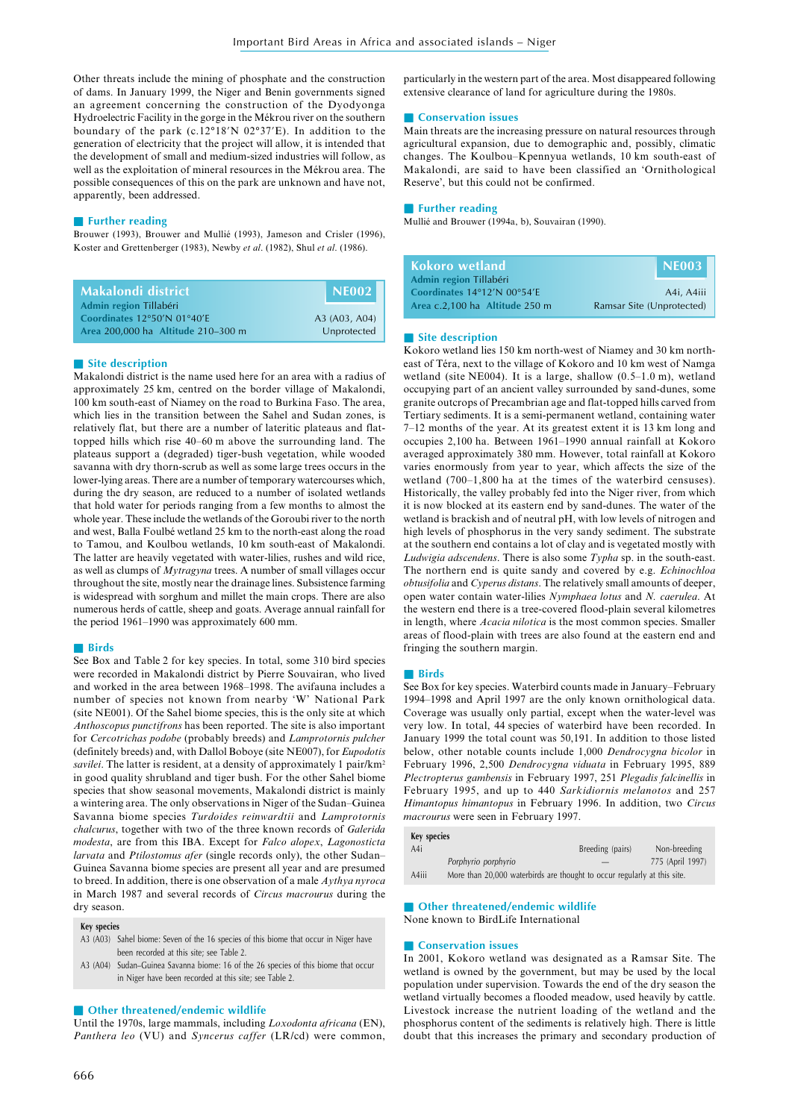Other threats include the mining of phosphate and the construction of dams. In January 1999, the Niger and Benin governments signed an agreement concerning the construction of the Dyodyonga Hydroelectric Facility in the gorge in the Mékrou river on the southern boundary of the park (c.12°18'N 02°37'E). In addition to the generation of electricity that the project will allow, it is intended that the development of small and medium-sized industries will follow, as well as the exploitation of mineral resources in the Mékrou area. The possible consequences of this on the park are unknown and have not, apparently, been addressed.

# ■ **Further reading**

Brouwer (1993), Brouwer and Mullié (1993), Jameson and Crisler (1996), Koster and Grettenberger (1983), Newby *et al*. (1982), Shul *et al*. (1986).

| Makalondi district.                                   | $\mid$ NE002 . |
|-------------------------------------------------------|----------------|
| Admin region Tillabéri<br>Coordinates 12°50'N 01°40'E | A3 (A03, A04)  |
| Area 200,000 ha Altitude 210-300 m                    | Unprotected    |

#### ■ Site description

Makalondi district is the name used here for an area with a radius of approximately 25 km, centred on the border village of Makalondi, 100 km south-east of Niamey on the road to Burkina Faso. The area, which lies in the transition between the Sahel and Sudan zones, is relatively flat, but there are a number of lateritic plateaus and flattopped hills which rise 40–60 m above the surrounding land. The plateaus support a (degraded) tiger-bush vegetation, while wooded savanna with dry thorn-scrub as well as some large trees occurs in the lower-lying areas. There are a number of temporary watercourses which, during the dry season, are reduced to a number of isolated wetlands that hold water for periods ranging from a few months to almost the whole year. These include the wetlands of the Goroubi river to the north and west, Balla Foulbé wetland 25 km to the north-east along the road to Tamou, and Koulbou wetlands, 10 km south-east of Makalondi. The latter are heavily vegetated with water-lilies, rushes and wild rice, as well as clumps of *Mytragyna* trees. A number of small villages occur throughout the site, mostly near the drainage lines. Subsistence farming is widespread with sorghum and millet the main crops. There are also numerous herds of cattle, sheep and goats. Average annual rainfall for the period 1961–1990 was approximately 600 mm.

# ■ **Birds**

See Box and Table 2 for key species. In total, some 310 bird species were recorded in Makalondi district by Pierre Souvairan, who lived and worked in the area between 1968–1998. The avifauna includes a number of species not known from nearby 'W' National Park (site NE001). Of the Sahel biome species, this is the only site at which *Anthoscopus punctifrons* has been reported. The site is also important for *Cercotrichas podobe* (probably breeds) and *Lamprotornis pulcher* (definitely breeds) and, with Dallol Boboye (site NE007), for *Eupodotis savilei*. The latter is resident, at a density of approximately 1 pair/km<sup>2</sup> in good quality shrubland and tiger bush. For the other Sahel biome species that show seasonal movements, Makalondi district is mainly a wintering area. The only observations in Niger of the Sudan–Guinea Savanna biome species *Turdoides reinwardtii* and *Lamprotornis chalcurus*, together with two of the three known records of *Galerida modesta*, are from this IBA. Except for *Falco alopex*, *Lagonosticta larvata* and *Ptilostomus afer* (single records only), the other Sudan– Guinea Savanna biome species are present all year and are presumed to breed. In addition, there is one observation of a male *Aythya nyroca* in March 1987 and several records of *Circus macrourus* during the dry season.

#### **Key species**

- A3 (A03) Sahel biome: Seven of the 16 species of this biome that occur in Niger have been recorded at this site; see Table 2.
- A3 (A04) Sudan–Guinea Savanna biome: 16 of the 26 species of this biome that occur in Niger have been recorded at this site; see Table 2.

# ■ Other threatened/endemic wildlife

Until the 1970s, large mammals, including *Loxodonta africana* (EN), *Panthera leo* (VU) and *Syncerus caffer* (LR/cd) were common, particularly in the western part of the area. Most disappeared following extensive clearance of land for agriculture during the 1980s.

#### ■ **Conservation issues**

Main threats are the increasing pressure on natural resources through agricultural expansion, due to demographic and, possibly, climatic changes. The Koulbou–Kpennyua wetlands, 10 km south-east of Makalondi, are said to have been classified an 'Ornithological Reserve', but this could not be confirmed.

#### ■ **Further reading**

Mullié and Brouwer (1994a, b), Souvairan (1990).

| Kokoro wetland                 | <b>NE003</b>              |
|--------------------------------|---------------------------|
| Admin region Tillabéri         |                           |
| Coordinates 14°12'N 00°54'E    | A4i, A4iii                |
| Area c.2,100 ha Altitude 250 m | Ramsar Site (Unprotected) |

#### ■ Site description

Kokoro wetland lies 150 km north-west of Niamey and 30 km northeast of Téra, next to the village of Kokoro and 10 km west of Namga wetland (site NE004). It is a large, shallow (0.5–1.0 m), wetland occupying part of an ancient valley surrounded by sand-dunes, some granite outcrops of Precambrian age and flat-topped hills carved from Tertiary sediments. It is a semi-permanent wetland, containing water 7–12 months of the year. At its greatest extent it is 13 km long and occupies 2,100 ha. Between 1961–1990 annual rainfall at Kokoro averaged approximately 380 mm. However, total rainfall at Kokoro varies enormously from year to year, which affects the size of the wetland (700–1,800 ha at the times of the waterbird censuses). Historically, the valley probably fed into the Niger river, from which it is now blocked at its eastern end by sand-dunes. The water of the wetland is brackish and of neutral pH, with low levels of nitrogen and high levels of phosphorus in the very sandy sediment. The substrate at the southern end contains a lot of clay and is vegetated mostly with *Ludwigia adscendens*. There is also some *Typha* sp. in the south-east. The northern end is quite sandy and covered by e.g. *Echinochloa obtusifolia* and *Cyperus distans*. The relatively small amounts of deeper, open water contain water-lilies *Nymphaea lotus* and *N. caerulea*. At the western end there is a tree-covered flood-plain several kilometres in length, where *Acacia nilotica* is the most common species. Smaller areas of flood-plain with trees are also found at the eastern end and fringing the southern margin.

#### ■ **Birds**

See Box for key species. Waterbird counts made in January–February 1994–1998 and April 1997 are the only known ornithological data. Coverage was usually only partial, except when the water-level was very low. In total, 44 species of waterbird have been recorded. In January 1999 the total count was 50,191. In addition to those listed below, other notable counts include 1,000 *Dendrocygna bicolor* in February 1996, 2,500 *Dendrocygna viduata* in February 1995, 889 *Plectropterus gambensis* in February 1997, 251 *Plegadis falcinellis* in February 1995, and up to 440 *Sarkidiornis melanotos* and 257 *Himantopus himantopus* in February 1996. In addition, two *Circus macrourus* were seen in February 1997.

| <b>Key species</b> |                                                                          |                  |                  |
|--------------------|--------------------------------------------------------------------------|------------------|------------------|
| A4i                |                                                                          | Breeding (pairs) | Non-breeding     |
|                    | Porphyrio porphyrio                                                      |                  | 775 (April 1997) |
| A4iii              | More than 20,000 waterbirds are thought to occur regularly at this site. |                  |                  |
|                    |                                                                          |                  |                  |

# ■ Other threatened/endemic wildlife

None known to BirdLife International

#### ■ **Conservation** issues

In 2001, Kokoro wetland was designated as a Ramsar Site. The wetland is owned by the government, but may be used by the local population under supervision. Towards the end of the dry season the wetland virtually becomes a flooded meadow, used heavily by cattle. Livestock increase the nutrient loading of the wetland and the phosphorus content of the sediments is relatively high. There is little doubt that this increases the primary and secondary production of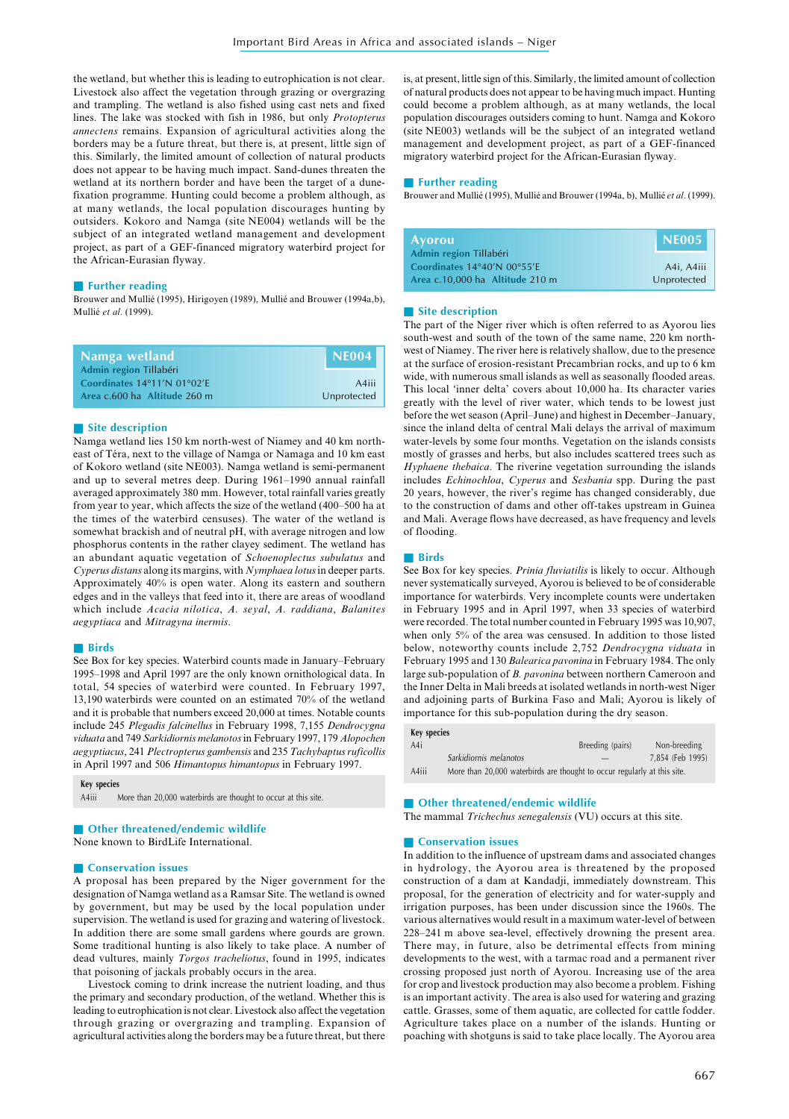the wetland, but whether this is leading to eutrophication is not clear. Livestock also affect the vegetation through grazing or overgrazing and trampling. The wetland is also fished using cast nets and fixed lines. The lake was stocked with fish in 1986, but only *Protopterus annectens* remains. Expansion of agricultural activities along the borders may be a future threat, but there is, at present, little sign of this. Similarly, the limited amount of collection of natural products does not appear to be having much impact. Sand-dunes threaten the wetland at its northern border and have been the target of a dunefixation programme. Hunting could become a problem although, as at many wetlands, the local population discourages hunting by outsiders. Kokoro and Namga (site NE004) wetlands will be the subject of an integrated wetland management and development project, as part of a GEF-financed migratory waterbird project for the African-Eurasian flyway.

# ■ **Further reading**

Brouwer and Mullié (1995), Hirigoyen (1989), Mullié and Brouwer (1994a,b), Mullié *et al*. (1999).

| Namga wetland                                         | <b>I</b> NE004 |
|-------------------------------------------------------|----------------|
| Admin region Tillabéri<br>Coordinates 14°11'N 01°02'E | A4iii          |
| Area c.600 ha Altitude 260 m                          | Unprotected    |

# ■ Site description

Namga wetland lies 150 km north-west of Niamey and 40 km northeast of Téra, next to the village of Namga or Namaga and 10 km east of Kokoro wetland (site NE003). Namga wetland is semi-permanent and up to several metres deep. During 1961–1990 annual rainfall averaged approximately 380 mm. However, total rainfall varies greatly from year to year, which affects the size of the wetland (400–500 ha at the times of the waterbird censuses). The water of the wetland is somewhat brackish and of neutral pH, with average nitrogen and low phosphorus contents in the rather clayey sediment. The wetland has an abundant aquatic vegetation of *Schoenoplectus subulatus* and *Cyperus distans* along its margins, with *Nymphaea lotus* in deeper parts. Approximately 40% is open water. Along its eastern and southern edges and in the valleys that feed into it, there are areas of woodland which include *Acacia nilotica*, *A. seyal*, *A. raddiana*, *Balanites aegyptiaca* and *Mitragyna inermis*.

#### ■ **Birds**

See Box for key species. Waterbird counts made in January–February 1995–1998 and April 1997 are the only known ornithological data. In total, 54 species of waterbird were counted. In February 1997, 13,190 waterbirds were counted on an estimated 70% of the wetland and it is probable that numbers exceed 20,000 at times. Notable counts include 245 *Plegadis falcinellus* in February 1998, 7,155 *Dendrocygna viduata* and 749 *Sarkidiornis melanotos* in February 1997, 179 *Alopochen aegyptiacus*, 241 *Plectropterus gambensis* and 235 *Tachybaptusruficollis* in April 1997 and 506 *Himantopus himantopus* in February 1997.

#### **Key species**

A4iii More than 20,000 waterbirds are thought to occur at this site.

# ■ **Other threatened/endemic wildlife**

None known to BirdLife International.

#### ■ **Conservation issues**

A proposal has been prepared by the Niger government for the designation of Namga wetland as a Ramsar Site. The wetland is owned by government, but may be used by the local population under supervision. The wetland is used for grazing and watering of livestock. In addition there are some small gardens where gourds are grown. Some traditional hunting is also likely to take place. A number of dead vultures, mainly *Torgos tracheliotus*, found in 1995, indicates that poisoning of jackals probably occurs in the area.

Livestock coming to drink increase the nutrient loading, and thus the primary and secondary production, of the wetland. Whether this is leading to eutrophication is not clear. Livestock also affect the vegetation through grazing or overgrazing and trampling. Expansion of agricultural activities along the borders may be a future threat, but there

is, at present, little sign of this. Similarly, the limited amount of collection of natural products does not appear to be having much impact. Hunting could become a problem although, as at many wetlands, the local population discourages outsiders coming to hunt. Namga and Kokoro (site NE003) wetlands will be the subject of an integrated wetland management and development project, as part of a GEF-financed migratory waterbird project for the African-Eurasian flyway.

#### ■ **Further reading**

Brouwer and Mullié (1995), Mullié and Brouwer (1994a, b), Mullié *et al*. (1999).

| <b>Ayorou</b>                   | NE005       |
|---------------------------------|-------------|
| Admin region Tillabéri          |             |
| Coordinates 14°40'N 00°55'E     | A4i, A4iii  |
| Area c.10,000 ha Altitude 210 m | Unprotected |

#### ■ Site description

The part of the Niger river which is often referred to as Ayorou lies south-west and south of the town of the same name, 220 km northwest of Niamey. The river here is relatively shallow, due to the presence at the surface of erosion-resistant Precambrian rocks, and up to 6 km wide, with numerous small islands as well as seasonally flooded areas. This local 'inner delta' covers about 10,000 ha. Its character varies greatly with the level of river water, which tends to be lowest just before the wet season (April–June) and highest in December–January, since the inland delta of central Mali delays the arrival of maximum water-levels by some four months. Vegetation on the islands consists mostly of grasses and herbs, but also includes scattered trees such as *Hyphaene thebaica*. The riverine vegetation surrounding the islands includes *Echinochloa*, *Cyperus* and *Sesbania* spp. During the past 20 years, however, the river's regime has changed considerably, due to the construction of dams and other off-takes upstream in Guinea and Mali. Average flows have decreased, as have frequency and levels of flooding.

# ■ **Birds**

See Box for key species. *Prinia fluviatilis* is likely to occur. Although never systematically surveyed, Ayorou is believed to be of considerable importance for waterbirds. Very incomplete counts were undertaken in February 1995 and in April 1997, when 33 species of waterbird were recorded. The total number counted in February 1995 was 10,907, when only 5% of the area was censused. In addition to those listed below, noteworthy counts include 2,752 *Dendrocygna viduata* in February 1995 and 130 *Balearica pavonina* in February 1984. The only large sub-population of *B. pavonina* between northern Cameroon and the Inner Delta in Mali breeds at isolated wetlands in north-west Niger and adjoining parts of Burkina Faso and Mali; Ayorou is likely of importance for this sub-population during the dry season.

| Key species |                                                                          |                  |                  |
|-------------|--------------------------------------------------------------------------|------------------|------------------|
| A4i         |                                                                          | Breeding (pairs) | Non-breeding     |
|             | Sarkidiornis melanotos                                                   |                  | 7,854 (Feb 1995) |
| A4iii       | More than 20,000 waterbirds are thought to occur regularly at this site. |                  |                  |

# ■ **Other threatened/endemic wildlife**

The mammal *Trichechus senegalensis* (VU) occurs at this site.

#### ■ **Conservation issues**

In addition to the influence of upstream dams and associated changes in hydrology, the Ayorou area is threatened by the proposed construction of a dam at Kandadji, immediately downstream. This proposal, for the generation of electricity and for water-supply and irrigation purposes, has been under discussion since the 1960s. The various alternatives would result in a maximum water-level of between 228–241 m above sea-level, effectively drowning the present area. There may, in future, also be detrimental effects from mining developments to the west, with a tarmac road and a permanent river crossing proposed just north of Ayorou. Increasing use of the area for crop and livestock production may also become a problem. Fishing is an important activity. The area is also used for watering and grazing cattle. Grasses, some of them aquatic, are collected for cattle fodder. Agriculture takes place on a number of the islands. Hunting or poaching with shotguns is said to take place locally. The Ayorou area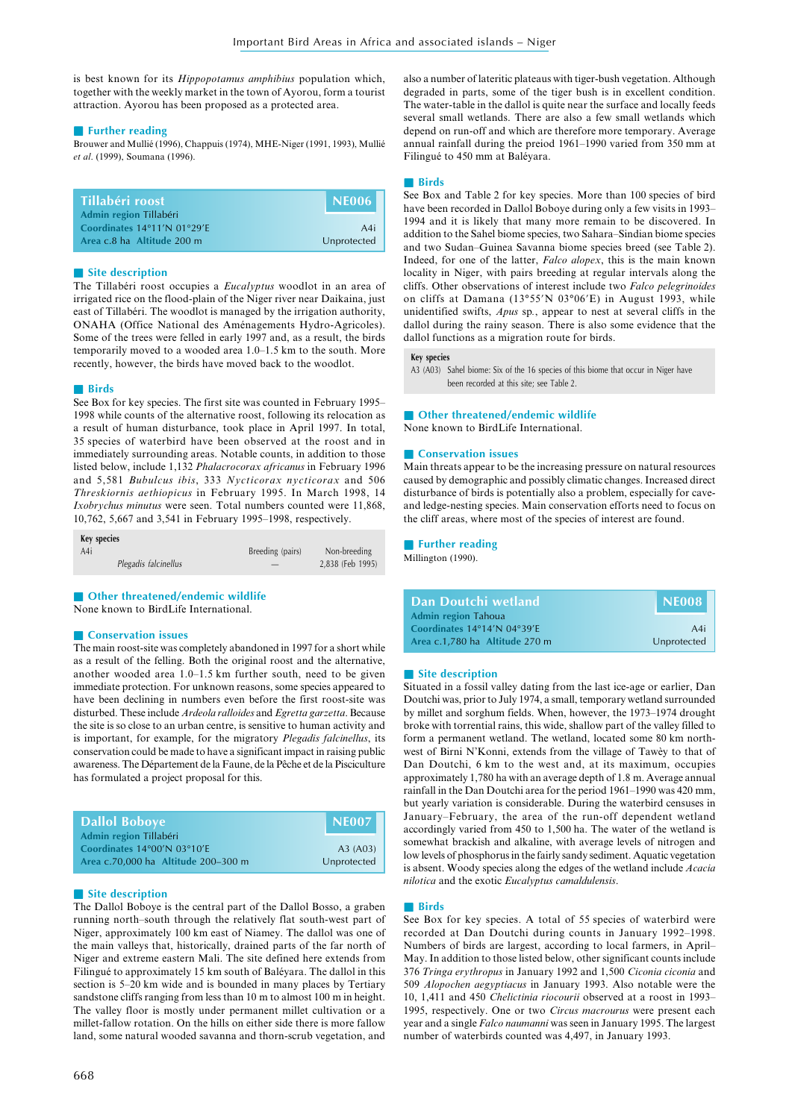is best known for its *Hippopotamus amphibius* population which, together with the weekly market in the town of Ayorou, form a tourist attraction. Ayorou has been proposed as a protected area.

# ■ **Further reading**

Brouwer and Mullié (1996), Chappuis (1974), MHE-Niger (1991, 1993), Mullié *et al*. (1999), Soumana (1996).

| . Tillabéri roost '                                   | NE006       |
|-------------------------------------------------------|-------------|
| Admin region Tillabéri<br>Coordinates 14°11'N 01°29'E | A4i         |
| Area c.8 ha Altitude 200 m                            | Unprotected |

# ■ Site description

The Tillabéri roost occupies a *Eucalyptus* woodlot in an area of irrigated rice on the flood-plain of the Niger river near Daikaina, just east of Tillabéri. The woodlot is managed by the irrigation authority, ONAHA (Office National des Aménagements Hydro-Agricoles). Some of the trees were felled in early 1997 and, as a result, the birds temporarily moved to a wooded area 1.0–1.5 km to the south. More recently, however, the birds have moved back to the woodlot.

#### ■ **Birds**

See Box for key species. The first site was counted in February 1995– 1998 while counts of the alternative roost, following its relocation as a result of human disturbance, took place in April 1997. In total, 35 species of waterbird have been observed at the roost and in immediately surrounding areas. Notable counts, in addition to those listed below, include 1,132 *Phalacrocorax africanus* in February 1996 and 5,581 *Bubulcus ibis*, 333 *Nycticorax nycticorax* and 506 *Threskiornis aethiopicus* in February 1995. In March 1998, 14 *Ixobrychus minutus* were seen. Total numbers counted were 11,868, 10,762, 5,667 and 3,541 in February 1995–1998, respectively.

| Key species          |                  |                  |
|----------------------|------------------|------------------|
| A4i                  | Breeding (pairs) | Non-breeding     |
| Plegadis falcinellus |                  | 2,838 (Feb 1995) |

## ■ Other threatened/endemic wildlife

None known to BirdLife International.

# ■ **Conservation issues**

The main roost-site was completely abandoned in 1997 for a short while as a result of the felling. Both the original roost and the alternative, another wooded area 1.0–1.5 km further south, need to be given immediate protection. For unknown reasons, some species appeared to have been declining in numbers even before the first roost-site was disturbed. These include *Ardeola ralloides* and *Egretta garzetta*. Because the site is so close to an urban centre, is sensitive to human activity and is important, for example, for the migratory *Plegadis falcinellus*, its conservation could be made to have a significant impact in raising public awareness. The Département de la Faune, de la Pêche et de la Pisciculture has formulated a project proposal for this.

| <b>Dallol Boboye</b>                                  | <b>I</b> NE007 |
|-------------------------------------------------------|----------------|
| Admin region Tillabéri<br>Coordinates 14°00'N 03°10'E | A3(A03)        |
| Area c.70,000 ha Altitude 200-300 m                   | Unprotected    |

# ■ **Site description**

The Dallol Boboye is the central part of the Dallol Bosso, a graben running north–south through the relatively flat south-west part of Niger, approximately 100 km east of Niamey. The dallol was one of the main valleys that, historically, drained parts of the far north of Niger and extreme eastern Mali. The site defined here extends from Filingué to approximately 15 km south of Baléyara. The dallol in this section is 5–20 km wide and is bounded in many places by Tertiary sandstone cliffs ranging from less than 10 m to almost 100 m in height. The valley floor is mostly under permanent millet cultivation or a millet-fallow rotation. On the hills on either side there is more fallow land, some natural wooded savanna and thorn-scrub vegetation, and

also a number of lateritic plateaus with tiger-bush vegetation. Although degraded in parts, some of the tiger bush is in excellent condition. The water-table in the dallol is quite near the surface and locally feeds several small wetlands. There are also a few small wetlands which depend on run-off and which are therefore more temporary. Average annual rainfall during the preiod 1961–1990 varied from 350 mm at Filingué to 450 mm at Baléyara.

#### ■ **Birds**

See Box and Table 2 for key species. More than 100 species of bird have been recorded in Dallol Boboye during only a few visits in 1993– 1994 and it is likely that many more remain to be discovered. In addition to the Sahel biome species, two Sahara–Sindian biome species and two Sudan–Guinea Savanna biome species breed (see Table 2). Indeed, for one of the latter, *Falco alopex*, this is the main known locality in Niger, with pairs breeding at regular intervals along the cliffs. Other observations of interest include two *Falco pelegrinoides* on cliffs at Damana (13°55'N 03°06'E) in August 1993, while unidentified swifts, *Apus* sp*.*, appear to nest at several cliffs in the dallol during the rainy season. There is also some evidence that the dallol functions as a migration route for birds.

# **Key species**

A3 (A03) Sahel biome: Six of the 16 species of this biome that occur in Niger have been recorded at this site; see Table 2.

# ■ **Other threatened/endemic wildlife**

None known to BirdLife International.

# ■ **Conservation issues**

Main threats appear to be the increasing pressure on natural resources caused by demographic and possibly climatic changes. Increased direct disturbance of birds is potentially also a problem, especially for caveand ledge-nesting species. Main conservation efforts need to focus on the cliff areas, where most of the species of interest are found.

# ■ **Further reading**

Millington (1990).

| Dan Doutchi wetland            | NE008       |
|--------------------------------|-------------|
| <b>Admin region Tahoua</b>     |             |
| Coordinates 14°14'N 04°39'E    | A4i         |
| Area c.1,780 ha Altitude 270 m | Unprotected |

#### ■ Site description

Situated in a fossil valley dating from the last ice-age or earlier, Dan Doutchi was, prior to July 1974, a small, temporary wetland surrounded by millet and sorghum fields. When, however, the 1973–1974 drought broke with torrential rains, this wide, shallow part of the valley filled to form a permanent wetland. The wetland, located some 80 km northwest of Birni N'Konni, extends from the village of Tawèy to that of Dan Doutchi, 6 km to the west and, at its maximum, occupies approximately 1,780 ha with an average depth of 1.8 m. Average annual rainfall in the Dan Doutchi area for the period 1961–1990 was 420 mm, but yearly variation is considerable. During the waterbird censuses in January–February, the area of the run-off dependent wetland accordingly varied from 450 to 1,500 ha. The water of the wetland is somewhat brackish and alkaline, with average levels of nitrogen and low levels of phosphorus in the fairly sandy sediment. Aquatic vegetation is absent. Woody species along the edges of the wetland include *Acacia nilotica* and the exotic *Eucalyptus camaldulensis*.

# ■ **Birds**

See Box for key species. A total of 55 species of waterbird were recorded at Dan Doutchi during counts in January 1992–1998. Numbers of birds are largest, according to local farmers, in April– May. In addition to those listed below, other significant counts include 376 *Tringa erythropus* in January 1992 and 1,500 *Ciconia ciconia* and 509 *Alopochen aegyptiacus* in January 1993. Also notable were the 10, 1,411 and 450 *Chelictinia riocourii* observed at a roost in 1993– 1995, respectively. One or two *Circus macrourus* were present each year and a single *Falco naumanni* was seen in January 1995. The largest number of waterbirds counted was 4,497, in January 1993.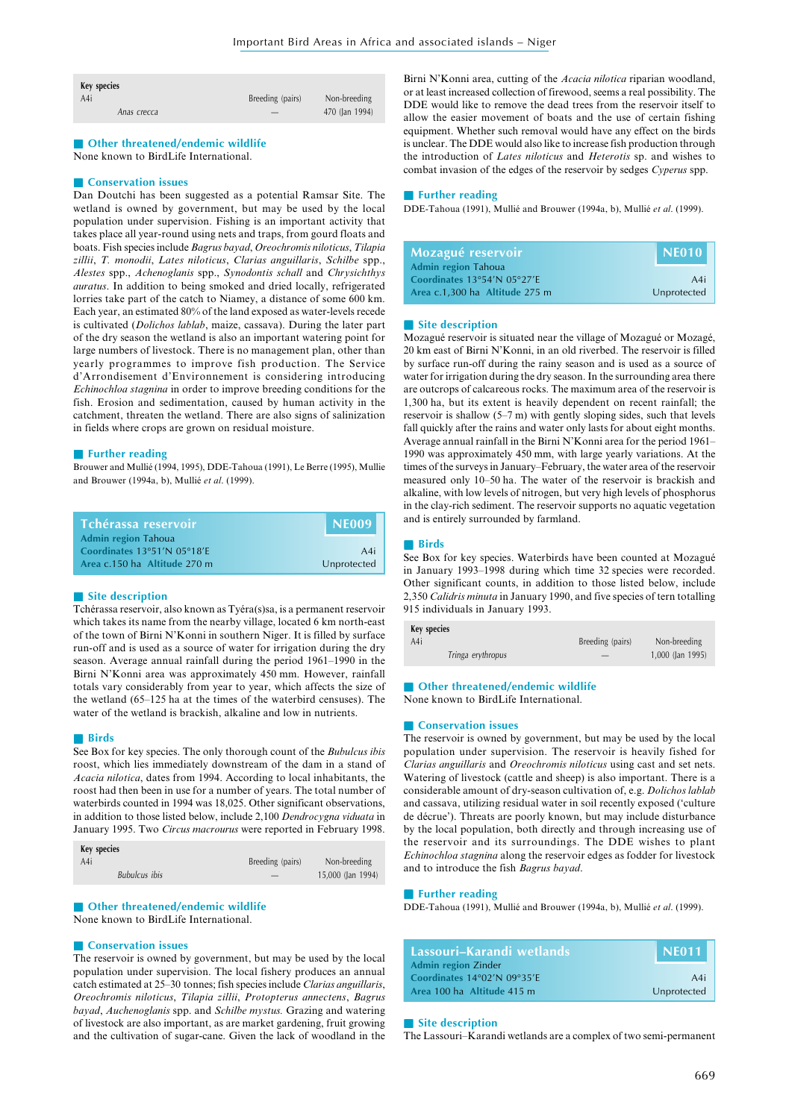| Key species |                  |                |
|-------------|------------------|----------------|
| A4i         | Breeding (pairs) | Non-breeding   |
| Anas crecca |                  | 470 (Jan 1994) |

■ **Other threatened/endemic wildlife** None known to BirdLife International.

# ■ **Conservation issues**

Dan Doutchi has been suggested as a potential Ramsar Site. The wetland is owned by government, but may be used by the local population under supervision. Fishing is an important activity that takes place all year-round using nets and traps, from gourd floats and boats. Fish species include *Bagrus bayad*, *Oreochromis niloticus*, *Tilapia zillii*, *T. monodii*, *Lates niloticus*, *Clarias anguillaris*, *Schilbe* spp., *Alestes* spp., *Achenoglanis* spp., *Synodontis schall* and *Chrysichthys auratus*. In addition to being smoked and dried locally, refrigerated lorries take part of the catch to Niamey, a distance of some 600 km. Each year, an estimated 80% of the land exposed as water-levels recede is cultivated (*Dolichos lablab*, maize, cassava). During the later part of the dry season the wetland is also an important watering point for large numbers of livestock. There is no management plan, other than yearly programmes to improve fish production. The Service d'Arrondisement d'Environnement is considering introducing *Echinochloa stagnina* in order to improve breeding conditions for the fish. Erosion and sedimentation, caused by human activity in the catchment, threaten the wetland. There are also signs of salinization in fields where crops are grown on residual moisture.

#### ■ **Further reading**

Brouwer and Mullié (1994, 1995), DDE-Tahoua (1991), Le Berre (1995), Mullie and Brouwer (1994a, b), Mullié *et al*. (1999).

| Tchérassa reservoir          | <b>INE009</b> |
|------------------------------|---------------|
| <b>Admin region Tahoua</b>   |               |
| Coordinates 13°51'N 05°18'E  | A4i           |
| Area c.150 ha Altitude 270 m | Unprotected   |

# ■ **Site description**

Tchérassa reservoir, also known as Tyéra(s)sa, is a permanent reservoir which takes its name from the nearby village, located 6 km north-east of the town of Birni N'Konni in southern Niger. It is filled by surface run-off and is used as a source of water for irrigation during the dry season. Average annual rainfall during the period 1961–1990 in the Birni N'Konni area was approximately 450 mm. However, rainfall totals vary considerably from year to year, which affects the size of the wetland (65–125 ha at the times of the waterbird censuses). The water of the wetland is brackish, alkaline and low in nutrients.

#### ■ **Birds**

See Box for key species. The only thorough count of the *Bubulcus ibis* roost, which lies immediately downstream of the dam in a stand of *Acacia nilotica*, dates from 1994. According to local inhabitants, the roost had then been in use for a number of years. The total number of waterbirds counted in 1994 was 18,025. Other significant observations, in addition to those listed below, include 2,100 *Dendrocygna viduata* in January 1995. Two *Circus macrourus* were reported in February 1998.

| Key species          |                  |                   |
|----------------------|------------------|-------------------|
| A4i                  | Breeding (pairs) | Non-breeding      |
| <b>Bubulcus</b> ibis |                  | 15,000 (Jan 1994) |
|                      |                  |                   |

# ■ Other threatened/endemic wildlife

None known to BirdLife International.

# ■ **Conservation issues**

The reservoir is owned by government, but may be used by the local population under supervision. The local fishery produces an annual catch estimated at 25–30 tonnes; fish species include *Clarias anguillaris*, *Oreochromis niloticus*, *Tilapia zillii*, *Protopterus annectens*, *Bagrus bayad*, *Auchenoglanis* spp. and *Schilbe mystus.* Grazing and watering of livestock are also important, as are market gardening, fruit growing and the cultivation of sugar-cane. Given the lack of woodland in the

Birni N'Konni area, cutting of the *Acacia nilotica* riparian woodland, or at least increased collection of firewood, seems a real possibility. The DDE would like to remove the dead trees from the reservoir itself to allow the easier movement of boats and the use of certain fishing equipment. Whether such removal would have any effect on the birds is unclear. The DDE would also like to increase fish production through the introduction of *Lates niloticus* and *Heterotis* sp. and wishes to combat invasion of the edges of the reservoir by sedges *Cyperus* spp.

#### ■ **Further reading**

DDE-Tahoua (1991), Mullié and Brouwer (1994a, b), Mullié *et al*. (1999).

| Mozagué reservoir              | NE010       |
|--------------------------------|-------------|
| <b>Admin region Tahoua</b>     |             |
| Coordinates 13°54'N 05°27'E    | A4i         |
| Area c.1,300 ha Altitude 275 m | Unprotected |

#### ■ Site description

Mozagué reservoir is situated near the village of Mozagué or Mozagé, 20 km east of Birni N'Konni, in an old riverbed. The reservoir is filled by surface run-off during the rainy season and is used as a source of water for irrigation during the dry season. In the surrounding area there are outcrops of calcareous rocks. The maximum area of the reservoir is 1,300 ha, but its extent is heavily dependent on recent rainfall; the reservoir is shallow (5–7 m) with gently sloping sides, such that levels fall quickly after the rains and water only lasts for about eight months. Average annual rainfall in the Birni N'Konni area for the period 1961– 1990 was approximately 450 mm, with large yearly variations. At the times of the surveys in January–February, the water area of the reservoir measured only 10–50 ha. The water of the reservoir is brackish and alkaline, with low levels of nitrogen, but very high levels of phosphorus in the clay-rich sediment. The reservoir supports no aquatic vegetation and is entirely surrounded by farmland.

# ■ **Birds**

See Box for key species. Waterbirds have been counted at Mozagué in January 1993–1998 during which time 32 species were recorded. Other significant counts, in addition to those listed below, include 2,350 *Calidris minuta* in January 1990, and five species of tern totalling 915 individuals in January 1993.

| Key species       |                  |                    |
|-------------------|------------------|--------------------|
| A4i               | Breeding (pairs) | Non-breeding       |
| Tringa erythropus |                  | $1,000$ (Jan 1995) |
|                   |                  |                    |

■ **Other threatened/endemic wildlife** 

None known to BirdLife International.

#### ■ **Conservation issues**

The reservoir is owned by government, but may be used by the local population under supervision. The reservoir is heavily fished for *Clarias anguillaris* and *Oreochromis niloticus* using cast and set nets. Watering of livestock (cattle and sheep) is also important. There is a considerable amount of dry-season cultivation of, e.g. *Dolichos lablab* and cassava, utilizing residual water in soil recently exposed ('culture de décrue'). Threats are poorly known, but may include disturbance by the local population, both directly and through increasing use of the reservoir and its surroundings. The DDE wishes to plant *Echinochloa stagnina* along the reservoir edges as fodder for livestock and to introduce the fish *Bagrus bayad*.

# ■ **Further reading**

DDE-Tahoua (1991), Mullié and Brouwer (1994a, b), Mullié *et al*. (1999).

| Lassouri–Karandi wetlands   | NE011'      |
|-----------------------------|-------------|
| <b>Admin region Zinder</b>  |             |
| Coordinates 14°02'N 09°35'E | A4i         |
| Area 100 ha Altitude 415 m  | Unprotected |

#### ■ Site description

The Lassouri–Karandi wetlands are a complex of two semi-permanent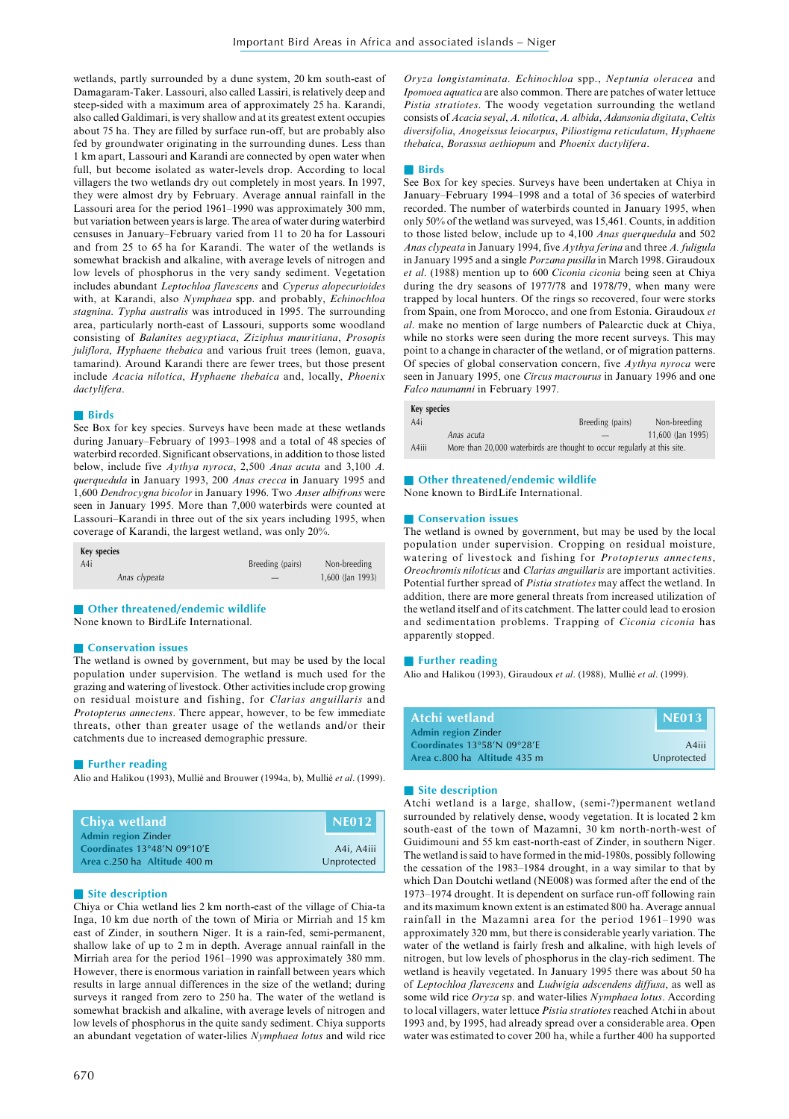wetlands, partly surrounded by a dune system, 20 km south-east of Damagaram-Taker. Lassouri, also called Lassiri, is relatively deep and steep-sided with a maximum area of approximately 25 ha. Karandi, also called Galdimari, is very shallow and at its greatest extent occupies about 75 ha. They are filled by surface run-off, but are probably also fed by groundwater originating in the surrounding dunes. Less than 1 km apart, Lassouri and Karandi are connected by open water when full, but become isolated as water-levels drop. According to local villagers the two wetlands dry out completely in most years. In 1997, they were almost dry by February. Average annual rainfall in the Lassouri area for the period 1961–1990 was approximately 300 mm, but variation between years is large. The area of water during waterbird censuses in January–February varied from 11 to 20 ha for Lassouri and from 25 to 65 ha for Karandi. The water of the wetlands is somewhat brackish and alkaline, with average levels of nitrogen and low levels of phosphorus in the very sandy sediment. Vegetation includes abundant *Leptochloa flavescens* and *Cyperus alopecurioides* with, at Karandi, also *Nymphaea* spp. and probably, *Echinochloa stagnina*. *Typha australis* was introduced in 1995. The surrounding area, particularly north-east of Lassouri, supports some woodland consisting of *Balanites aegyptiaca*, *Ziziphus mauritiana*, *Prosopis juliflora*, *Hyphaene thebaica* and various fruit trees (lemon, guava, tamarind). Around Karandi there are fewer trees, but those present include *Acacia nilotica*, *Hyphaene thebaica* and, locally, *Phoenix dactylifera*.

# ■ **Birds**

See Box for key species. Surveys have been made at these wetlands during January–February of 1993–1998 and a total of 48 species of waterbird recorded. Significant observations, in addition to those listed below, include five *Aythya nyroca*, 2,500 *Anas acuta* and 3,100 *A. querquedula* in January 1993, 200 *Anas crecca* in January 1995 and 1,600 *Dendrocygna bicolor* in January 1996. Two *Anser albifrons* were seen in January 1995. More than 7,000 waterbirds were counted at Lassouri–Karandi in three out of the six years including 1995, when coverage of Karandi, the largest wetland, was only 20%.

| Key species   |                  |                  |
|---------------|------------------|------------------|
| A4i           | Breeding (pairs) | Non-breeding     |
| Anas clypeata |                  | 1,600 (Jan 1993) |

■ **Other threatened/endemic wildlife** 

None known to BirdLife International.

#### ■ **Conservation issues**

The wetland is owned by government, but may be used by the local population under supervision. The wetland is much used for the grazing and watering of livestock. Other activities include crop growing on residual moisture and fishing, for *Clarias anguillaris* and *Protopterus annectens*. There appear, however, to be few immediate threats, other than greater usage of the wetlands and/or their catchments due to increased demographic pressure.

# ■ **Further reading**

Alio and Halikou (1993), Mullié and Brouwer (1994a, b), Mullié *et al*. (1999).

| <b>Chiya wetland</b>         |             |
|------------------------------|-------------|
| <b>Admin region Zinder</b>   |             |
| Coordinates 13°48'N 09°10'E  | A4i, A4iii  |
| Area c.250 ha Altitude 400 m | Unprotected |

# ■ **Site description**

Chiya or Chia wetland lies 2 km north-east of the village of Chia-ta Inga, 10 km due north of the town of Miria or Mirriah and 15 km east of Zinder, in southern Niger. It is a rain-fed, semi-permanent, shallow lake of up to 2 m in depth. Average annual rainfall in the Mirriah area for the period 1961–1990 was approximately 380 mm. However, there is enormous variation in rainfall between years which results in large annual differences in the size of the wetland; during surveys it ranged from zero to 250 ha. The water of the wetland is somewhat brackish and alkaline, with average levels of nitrogen and low levels of phosphorus in the quite sandy sediment. Chiya supports an abundant vegetation of water-lilies *Nymphaea lotus* and wild rice

*Oryza longistaminata*. *Echinochloa* spp., *Neptunia oleracea* and *Ipomoea aquatica* are also common. There are patches of water lettuce *Pistia stratiotes*. The woody vegetation surrounding the wetland consists of *Acacia seyal*, *A. nilotica*, *A. albida*, *Adansonia digitata*, *Celtis diversifolia*, *Anogeissus leiocarpus*, *Piliostigma reticulatum*, *Hyphaene thebaica*, *Borassus aethiopum* and *Phoenix dactylifera*.

#### ■ **Birds**

See Box for key species. Surveys have been undertaken at Chiya in January–February 1994–1998 and a total of 36 species of waterbird recorded. The number of waterbirds counted in January 1995, when only 50% of the wetland was surveyed, was 15,461. Counts, in addition to those listed below, include up to 4,100 *Anas querquedula* and 502 *Anas clypeata* in January 1994, five *Aythya ferina* and three *A. fuligula* in January 1995 and a single *Porzana pusilla* in March 1998. Giraudoux *et al*. (1988) mention up to 600 *Ciconia ciconia* being seen at Chiya during the dry seasons of 1977/78 and 1978/79, when many were trapped by local hunters. Of the rings so recovered, four were storks from Spain, one from Morocco, and one from Estonia. Giraudoux *et al*. make no mention of large numbers of Palearctic duck at Chiya, while no storks were seen during the more recent surveys. This may point to a change in character of the wetland, or of migration patterns. Of species of global conservation concern, five *Aythya nyroca* were seen in January 1995, one *Circus macrourus* in January 1996 and one *Falco naumanni* in February 1997.

# **Key species**

| A4i   |                                                                          | Breeding (pairs) | Non-breeding      |
|-------|--------------------------------------------------------------------------|------------------|-------------------|
|       | Anas acuta                                                               |                  | 11.600 (lan 1995) |
| A4iii | More than 20,000 waterbirds are thought to occur regularly at this site. |                  |                   |

#### ■ Other threatened/endemic wildlife

None known to BirdLife International.

# ■ **Conservation issues**

The wetland is owned by government, but may be used by the local population under supervision. Cropping on residual moisture, watering of livestock and fishing for *Protopterus annectens*, *Oreochromis niloticus* and *Clarias anguillaris* are important activities. Potential further spread of *Pistia stratiotes* may affect the wetland. In addition, there are more general threats from increased utilization of the wetland itself and of its catchment. The latter could lead to erosion and sedimentation problems. Trapping of *Ciconia ciconia* has apparently stopped.

# ■ **Further reading**

Alio and Halikou (1993), Giraudoux *et al*. (1988), Mullié *et al*. (1999).

| Atchi wetland                | $\mid$ NE013 $\mid$ |
|------------------------------|---------------------|
| <b>Admin region Zinder</b>   |                     |
| Coordinates 13°58'N 09°28'E  | A4iii               |
| Area c.800 ha Altitude 435 m | Unprotected         |

# ■ **Site description**

Atchi wetland is a large, shallow, (semi-?)permanent wetland surrounded by relatively dense, woody vegetation. It is located 2 km south-east of the town of Mazamni, 30 km north-north-west of Guidimouni and 55 km east-north-east of Zinder, in southern Niger. The wetland is said to have formed in the mid-1980s, possibly following the cessation of the 1983–1984 drought, in a way similar to that by which Dan Doutchi wetland (NE008) was formed after the end of the 1973–1974 drought. It is dependent on surface run-off following rain and its maximum known extent is an estimated 800 ha. Average annual rainfall in the Mazamni area for the period 1961–1990 was approximately 320 mm, but there is considerable yearly variation. The water of the wetland is fairly fresh and alkaline, with high levels of nitrogen, but low levels of phosphorus in the clay-rich sediment. The wetland is heavily vegetated. In January 1995 there was about 50 ha of *Leptochloa flavescens* and *Ludwigia adscendens diffusa*, as well as some wild rice *Oryza* sp. and water-lilies *Nymphaea lotus*. According to local villagers, water lettuce *Pistia stratiotes* reached Atchi in about 1993 and, by 1995, had already spread over a considerable area. Open water was estimated to cover 200 ha, while a further 400 ha supported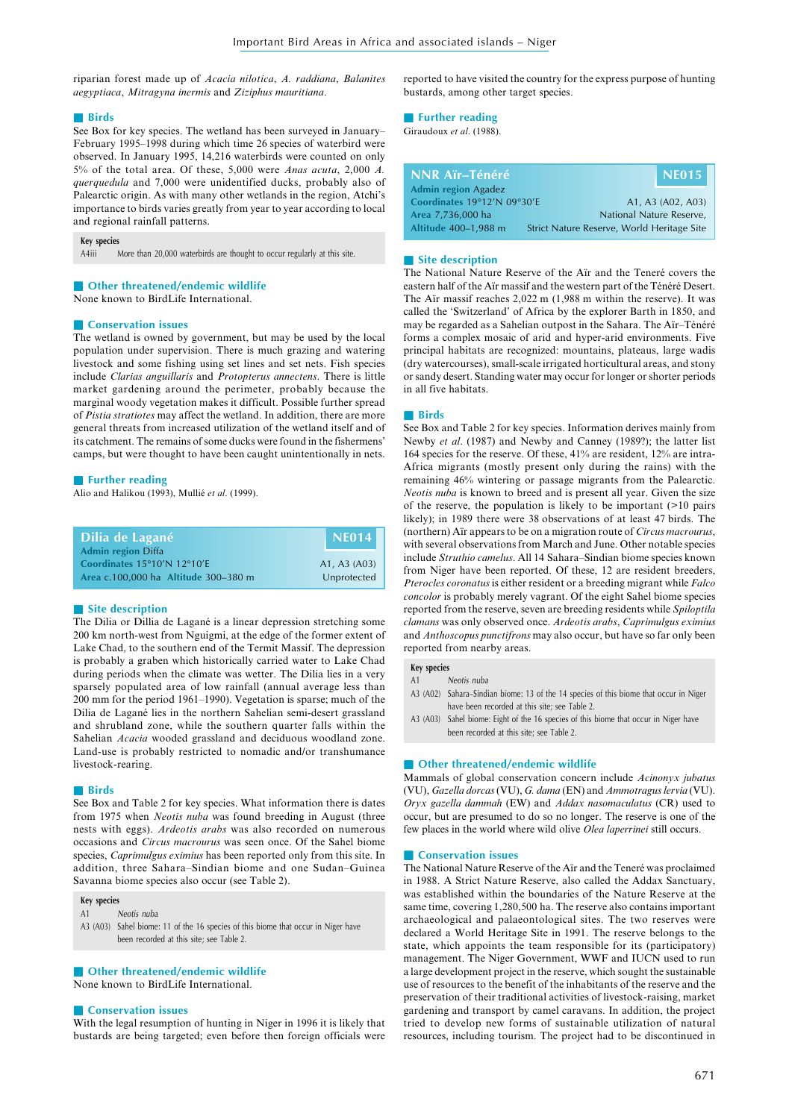riparian forest made up of *Acacia nilotica*, *A. raddiana*, *Balanites aegyptiaca*, *Mitragyna inermis* and *Ziziphus mauritiana*.

#### ■ **Birds**

See Box for key species. The wetland has been surveyed in January– February 1995–1998 during which time 26 species of waterbird were observed. In January 1995, 14,216 waterbirds were counted on only 5% of the total area. Of these, 5,000 were *Anas acuta*, 2,000 *A. querquedula* and 7,000 were unidentified ducks, probably also of Palearctic origin. As with many other wetlands in the region, Atchi's importance to birds varies greatly from year to year according to local and regional rainfall patterns.

#### **Key species**

A4iii More than 20,000 waterbirds are thought to occur regularly at this site.

# ■ Other threatened/endemic wildlife

None known to BirdLife International.

# ■ **Conservation issues**

The wetland is owned by government, but may be used by the local population under supervision. There is much grazing and watering livestock and some fishing using set lines and set nets. Fish species include *Clarias anguillaris* and *Protopterus annectens*. There is little market gardening around the perimeter, probably because the marginal woody vegetation makes it difficult. Possible further spread of *Pistia stratiotes* may affect the wetland. In addition, there are more general threats from increased utilization of the wetland itself and of its catchment. The remains of some ducks were found in the fishermens' camps, but were thought to have been caught unintentionally in nets.

# ■ **Further reading**

Alio and Halikou (1993), Mullié *et al*. (1999).

| Dilia de Lagané                                          | <b>INE014</b> |
|----------------------------------------------------------|---------------|
| <b>Admin region Diffa</b><br>Coordinates 15°10'N 12°10'E | A1, A3 (A03)  |
| Area c.100,000 ha Altitude 300-380 m                     | Unprotected   |

#### ■ Site description

The Dilia or Dillia de Lagané is a linear depression stretching some 200 km north-west from Nguigmi, at the edge of the former extent of Lake Chad, to the southern end of the Termit Massif. The depression is probably a graben which historically carried water to Lake Chad during periods when the climate was wetter. The Dilia lies in a very sparsely populated area of low rainfall (annual average less than 200 mm for the period 1961–1990). Vegetation is sparse; much of the Dilia de Lagané lies in the northern Sahelian semi-desert grassland and shrubland zone, while the southern quarter falls within the Sahelian *Acacia* wooded grassland and deciduous woodland zone. Land-use is probably restricted to nomadic and/or transhumance livestock-rearing.

# ■ **Birds**

See Box and Table 2 for key species. What information there is dates from 1975 when *Neotis nuba* was found breeding in August (three nests with eggs). *Ardeotis arabs* was also recorded on numerous occasions and *Circus macrourus* was seen once. Of the Sahel biome species, *Caprimulgus eximius* has been reported only from this site. In addition, three Sahara–Sindian biome and one Sudan–Guinea Savanna biome species also occur (see Table 2).

# **Key species**

A1 Neotis nuba A3 (A03) Sahel biome: 11 of the 16 species of this biome that occur in Niger have been recorded at this site; see Table 2.

#### ■ Other threatened/endemic wildlife

None known to BirdLife International.

# ■ **Conservation issues**

With the legal resumption of hunting in Niger in 1996 it is likely that bustards are being targeted; even before then foreign officials were reported to have visited the country for the express purpose of hunting bustards, among other target species.

#### ■ **Further reading**

Giraudoux *et al*. (1988).

| NNR Aïr-Ténéré              |                                            | NE015             |
|-----------------------------|--------------------------------------------|-------------------|
| Admin region Agadez         |                                            |                   |
| Coordinates 19°12'N 09°30'E |                                            | A1, A3 (A02, A03) |
| Area 7,736,000 ha           | National Nature Reserve,                   |                   |
| Altitude 400-1,988 m        | Strict Nature Reserve, World Heritage Site |                   |

#### ■ Site description

The National Nature Reserve of the Aïr and the Teneré covers the eastern half of the Aïr massif and the western part of the Ténéré Desert. The Aïr massif reaches 2,022 m (1,988 m within the reserve). It was called the 'Switzerland' of Africa by the explorer Barth in 1850, and may be regarded as a Sahelian outpost in the Sahara. The Aïr–Ténéré forms a complex mosaic of arid and hyper-arid environments. Five principal habitats are recognized: mountains, plateaus, large wadis (dry watercourses), small-scale irrigated horticultural areas, and stony or sandy desert. Standing water may occur for longer or shorter periods in all five habitats.

#### ■ **Birds**

See Box and Table 2 for key species. Information derives mainly from Newby *et al*. (1987) and Newby and Canney (1989?); the latter list 164 species for the reserve. Of these, 41% are resident, 12% are intra-Africa migrants (mostly present only during the rains) with the remaining 46% wintering or passage migrants from the Palearctic. *Neotis nuba* is known to breed and is present all year. Given the size of the reserve, the population is likely to be important (>10 pairs likely); in 1989 there were 38 observations of at least 47 birds. The (northern) Aïr appears to be on a migration route of *Circus macrourus*, with several observations from March and June. Other notable species include *Struthio camelus*. All 14 Sahara–Sindian biome species known from Niger have been reported. Of these, 12 are resident breeders, *Pterocles coronatus* is either resident or a breeding migrant while *Falco concolor* is probably merely vagrant. Of the eight Sahel biome species reported from the reserve, seven are breeding residents while *Spiloptila clamans* was only observed once. *Ardeotis arabs*, *Caprimulgus eximius* and *Anthoscopus punctifrons* may also occur, but have so far only been reported from nearby areas.

# **Key species**

- Neotis nuba
- A3 (A02) Sahara–Sindian biome: 13 of the 14 species of this biome that occur in Niger have been recorded at this site; see Table 2.
- A3 (A03) Sahel biome: Eight of the 16 species of this biome that occur in Niger have been recorded at this site; see Table 2.

# ■ Other threatened/endemic wildlife

Mammals of global conservation concern include *Acinonyx jubatus* (VU), *Gazella dorcas* (VU), *G. dama* (EN) and *Ammotragus lervia* (VU). *Oryx gazella dammah* (EW) and *Addax nasomaculatus* (CR) used to occur, but are presumed to do so no longer. The reserve is one of the few places in the world where wild olive *Olea laperrinei* still occurs.

#### ■ **Conservation** issues

The National Nature Reserve of the Aïr and the Teneré was proclaimed in 1988. A Strict Nature Reserve, also called the Addax Sanctuary, was established within the boundaries of the Nature Reserve at the same time, covering 1,280,500 ha. The reserve also contains important archaeological and palaeontological sites. The two reserves were declared a World Heritage Site in 1991. The reserve belongs to the state, which appoints the team responsible for its (participatory) management. The Niger Government, WWF and IUCN used to run a large development project in the reserve, which sought the sustainable use of resources to the benefit of the inhabitants of the reserve and the preservation of their traditional activities of livestock-raising, market gardening and transport by camel caravans. In addition, the project tried to develop new forms of sustainable utilization of natural resources, including tourism. The project had to be discontinued in